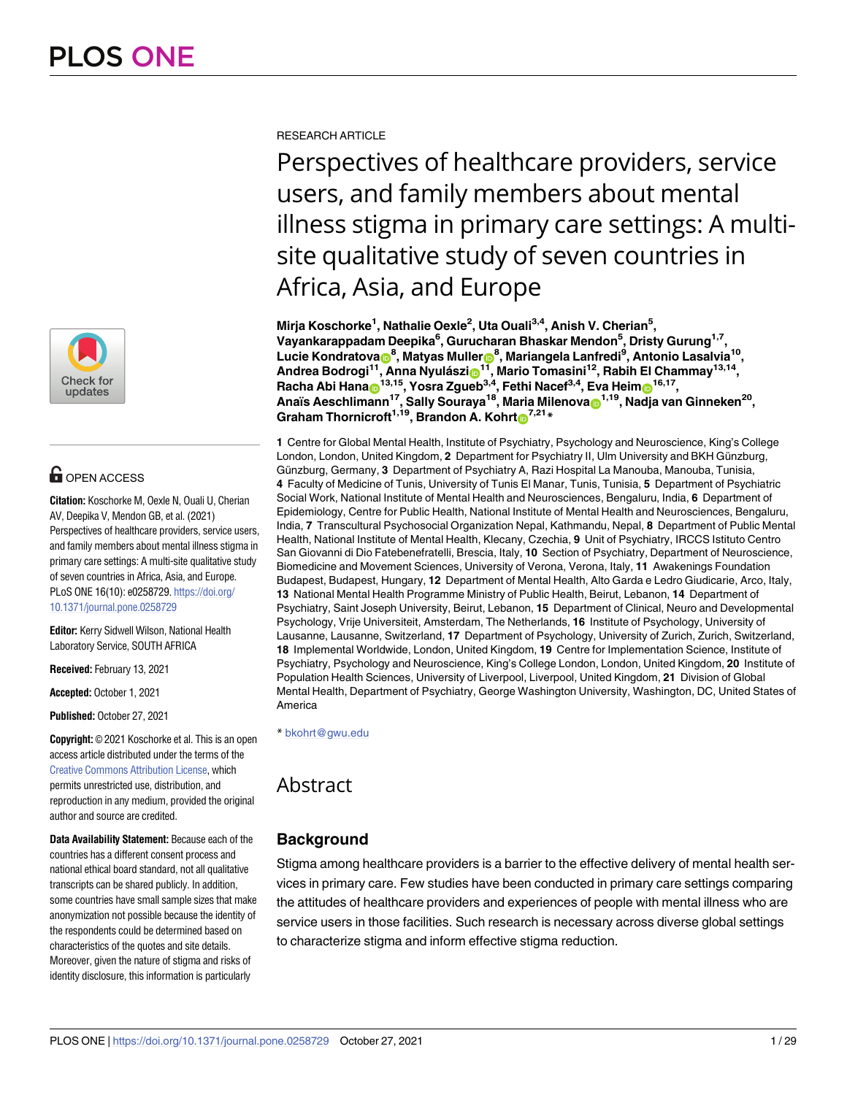

# **OPEN ACCESS**

**Citation:** Koschorke M, Oexle N, Ouali U, Cherian AV, Deepika V, Mendon GB, et al. (2021) Perspectives of healthcare providers, service users, and family members about mental illness stigma in primary care settings: A multi-site qualitative study of seven countries in Africa, Asia, and Europe. PLoS ONE 16(10): e0258729. [https://doi.org/](https://doi.org/10.1371/journal.pone.0258729) [10.1371/journal.pone.0258729](https://doi.org/10.1371/journal.pone.0258729)

**Editor:** Kerry Sidwell Wilson, National Health Laboratory Service, SOUTH AFRICA

**Received:** February 13, 2021

**Accepted:** October 1, 2021

**Published:** October 27, 2021

**Copyright:** © 2021 Koschorke et al. This is an open access article distributed under the terms of the Creative Commons [Attribution](http://creativecommons.org/licenses/by/4.0/) License, which permits unrestricted use, distribution, and reproduction in any medium, provided the original author and source are credited.

**Data Availability Statement:** Because each of the countries has a different consent process and national ethical board standard, not all qualitative transcripts can be shared publicly. In addition, some countries have small sample sizes that make anonymization not possible because the identity of the respondents could be determined based on characteristics of the quotes and site details. Moreover, given the nature of stigma and risks of identity disclosure, this information is particularly

RESEARCH ARTICLE

Perspectives of healthcare providers, service users, and family members about mental illness stigma in primary care settings: A multisite qualitative study of seven countries in Africa, Asia, and Europe

**Mirja Koschorke1 , Nathalie Oexle2 , Uta Ouali3,4, Anish V. Cherian5 , Vayankarappadam Deepika6 , Gurucharan Bhaskar Mendon5 , Dristy Gurung1,7, Lucie Kondratova[ID8](https://orcid.org/0000-0003-0239-6208) , Matyas Mulle[rID](https://orcid.org/0000-0003-2343-9684)8 , Mariangela Lanfredi9 , Antonio Lasalvia10, Andrea Bodrogi11, Anna Nyula´sz[iID](https://orcid.org/0000-0003-1087-0379)11, Mario Tomasini12, Rabih El Chammay13,14,**  $\mathsf{Racha}$  Abi Hana $\mathsf{D}^{13,15}$ , Yosra Zgueb<sup>3,4</sup>, Fethi Nacef<sup>3,4</sup>, Eva Heim $\mathsf{D}^{16,17}$ , **Anaïs Aeschlimann17, Sally Souraya18, Maria Milenova[ID1](https://orcid.org/0000-0002-6798-8178),19, Nadja van Ginneken20,**  $\frac{1}{2}$ **Graham** Thornicroft<sup>1,19</sup>, Brandon A. Kohrt $\frac{1}{2}$ <sup>7,21</sup> \*

**1** Centre for Global Mental Health, Institute of Psychiatry, Psychology and Neuroscience, King's College London, London, United Kingdom, 2 Department for Psychiatry II, Ulm University and BKH Günzburg, Günzburg, Germany, 3 Department of Psychiatry A, Razi Hospital La Manouba, Manouba, Tunisia, **4** Faculty of Medicine of Tunis, University of Tunis El Manar, Tunis, Tunisia, **5** Department of Psychiatric Social Work, National Institute of Mental Health and Neurosciences, Bengaluru, India, **6** Department of Epidemiology, Centre for Public Health, National Institute of Mental Health and Neurosciences, Bengaluru, India, **7** Transcultural Psychosocial Organization Nepal, Kathmandu, Nepal, **8** Department of Public Mental Health, National Institute of Mental Health, Klecany, Czechia, **9** Unit of Psychiatry, IRCCS Istituto Centro San Giovanni di Dio Fatebenefratelli, Brescia, Italy, **10** Section of Psychiatry, Department of Neuroscience, Biomedicine and Movement Sciences, University of Verona, Verona, Italy, **11** Awakenings Foundation Budapest, Budapest, Hungary, **12** Department of Mental Health, Alto Garda e Ledro Giudicarie, Arco, Italy, **13** National Mental Health Programme Ministry of Public Health, Beirut, Lebanon, **14** Department of Psychiatry, Saint Joseph University, Beirut, Lebanon, **15** Department of Clinical, Neuro and Developmental Psychology, Vrije Universiteit, Amsterdam, The Netherlands, **16** Institute of Psychology, University of Lausanne, Lausanne, Switzerland, **17** Department of Psychology, University of Zurich, Zurich, Switzerland, **18** Implemental Worldwide, London, United Kingdom, **19** Centre for Implementation Science, Institute of Psychiatry, Psychology and Neuroscience, King's College London, London, United Kingdom, **20** Institute of Population Health Sciences, University of Liverpool, Liverpool, United Kingdom, **21** Division of Global Mental Health, Department of Psychiatry, George Washington University, Washington, DC, United States of America

\* bkohrt@gwu.edu

# Abstract

# **Background**

Stigma among healthcare providers is a barrier to the effective delivery of mental health services in primary care. Few studies have been conducted in primary care settings comparing the attitudes of healthcare providers and experiences of people with mental illness who are service users in those facilities. Such research is necessary across diverse global settings to characterize stigma and inform effective stigma reduction.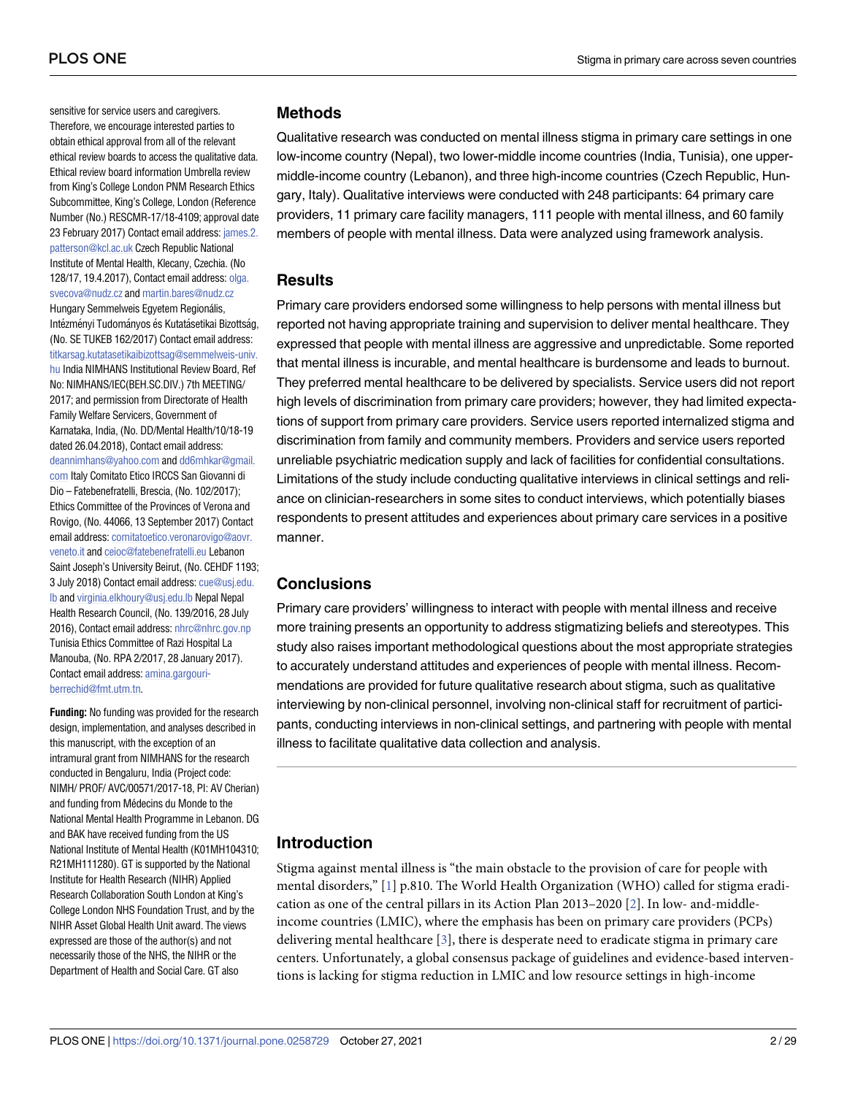<span id="page-1-0"></span>sensitive for service users and caregivers. Therefore, we encourage interested parties to obtain ethical approval from all of the relevant ethical review boards to access the qualitative data. Ethical review board information Umbrella review from King's College London PNM Research Ethics Subcommittee, King's College, London (Reference Number (No.) RESCMR-17/18-4109; approval date 23 February 2017) Contact email address: [james.2.](mailto:james.2.patterson@kcl.ac.uk) [patterson@kcl.ac.uk](mailto:james.2.patterson@kcl.ac.uk) Czech Republic National Institute of Mental Health, Klecany, Czechia. (No 128/17, 19.4.2017), Contact email address: [olga.](mailto:olga.svecova@nudz.cz) [svecova@nudz.cz](mailto:olga.svecova@nudz.cz) and [martin.bares@nudz.cz](mailto:martin.bares@nudz.cz) Hungary Semmelweis Egyetem Regionális, Intézményi Tudományos és Kutatásetikai Bizottság, (No. SE TUKEB 162/2017) Contact email address: [titkarsag.kutatasetikaibizottsag@semmelweis-univ.](mailto:titkarsag.kutatasetikaibizottsag@semmelweis-univ.hu) [hu](mailto:titkarsag.kutatasetikaibizottsag@semmelweis-univ.hu) India NIMHANS Institutional Review Board, Ref No: NIMHANS/IEC(BEH.SC.DIV.) 7th MEETING/ 2017; and permission from Directorate of Health Family Welfare Servicers, Government of Karnataka, India, (No. DD/Mental Health/10/18-19 dated 26.04.2018), Contact email address: [deannimhans@yahoo.com](mailto:deannimhans@yahoo.com) and [dd6mhkar@gmail.](mailto:dd6mhkar@gmail.com) [com](mailto:dd6mhkar@gmail.com) Italy Comitato Etico IRCCS San Giovanni di Dio – Fatebenefratelli, Brescia, (No. 102/2017); Ethics Committee of the Provinces of Verona and Rovigo, (No. 44066, 13 September 2017) Contact email address: [comitatoetico.veronarovigo@aovr.](mailto:comitatoetico.veronarovigo@aovr.veneto.it) [veneto.it](mailto:comitatoetico.veronarovigo@aovr.veneto.it) and [ceioc@fatebenefratelli.eu](mailto:ceioc@fatebenefratelli.eu) Lebanon Saint Joseph's University Beirut, (No. CEHDF 1193; 3 July 2018) Contact email address: [cue@usj.edu.](mailto:cue@usj.edu.lb) [lb](mailto:cue@usj.edu.lb) and [virginia.elkhoury@usj.edu.lb](mailto:virginia.elkhoury@usj.edu.lb) Nepal Nepal Health Research Council, (No. 139/2016, 28 July 2016), Contact email address: [nhrc@nhrc.gov.np](mailto:nhrc@nhrc.gov.np) Tunisia Ethics Committee of Razi Hospital La Manouba, (No. RPA 2/2017, 28 January 2017). Contact email address: [amina.gargouri-](mailto:amina.gargouri-berrechid@fmt.utm.tn)

**Funding:** No funding was provided for the research design, implementation, and analyses described in this manuscript, with the exception of an intramural grant from NIMHANS for the research conducted in Bengaluru, India (Project code: NIMH/ PROF/ AVC/00571/2017-18, PI: AV Cherian) and funding from Médecins du Monde to the National Mental Health Programme in Lebanon. DG and BAK have received funding from the US National Institute of Mental Health (K01MH104310; R21MH111280). GT is supported by the National Institute for Health Research (NIHR) Applied Research Collaboration South London at King's College London NHS Foundation Trust, and by the NIHR Asset Global Health Unit award. The views expressed are those of the author(s) and not necessarily those of the NHS, the NIHR or the Department of Health and Social Care. GT also

[berrechid@fmt.utm.tn.](mailto:amina.gargouri-berrechid@fmt.utm.tn)

#### **Methods**

Qualitative research was conducted on mental illness stigma in primary care settings in one low-income country (Nepal), two lower-middle income countries (India, Tunisia), one uppermiddle-income country (Lebanon), and three high-income countries (Czech Republic, Hungary, Italy). Qualitative interviews were conducted with 248 participants: 64 primary care providers, 11 primary care facility managers, 111 people with mental illness, and 60 family members of people with mental illness. Data were analyzed using framework analysis.

## **Results**

Primary care providers endorsed some willingness to help persons with mental illness but reported not having appropriate training and supervision to deliver mental healthcare. They expressed that people with mental illness are aggressive and unpredictable. Some reported that mental illness is incurable, and mental healthcare is burdensome and leads to burnout. They preferred mental healthcare to be delivered by specialists. Service users did not report high levels of discrimination from primary care providers; however, they had limited expectations of support from primary care providers. Service users reported internalized stigma and discrimination from family and community members. Providers and service users reported unreliable psychiatric medication supply and lack of facilities for confidential consultations. Limitations of the study include conducting qualitative interviews in clinical settings and reliance on clinician-researchers in some sites to conduct interviews, which potentially biases respondents to present attitudes and experiences about primary care services in a positive manner.

### **Conclusions**

Primary care providers' willingness to interact with people with mental illness and receive more training presents an opportunity to address stigmatizing beliefs and stereotypes. This study also raises important methodological questions about the most appropriate strategies to accurately understand attitudes and experiences of people with mental illness. Recommendations are provided for future qualitative research about stigma, such as qualitative interviewing by non-clinical personnel, involving non-clinical staff for recruitment of participants, conducting interviews in non-clinical settings, and partnering with people with mental illness to facilitate qualitative data collection and analysis.

## **Introduction**

Stigma against mental illness is "the main obstacle to the provision of care for people with mental disorders," [[1\]](#page-26-0) p.810. The World Health Organization (WHO) called for stigma eradication as one of the central pillars in its Action Plan 2013–2020 [\[2](#page-26-0)]. In low- and-middleincome countries (LMIC), where the emphasis has been on primary care providers (PCPs) delivering mental healthcare [[3](#page-26-0)], there is desperate need to eradicate stigma in primary care centers. Unfortunately, a global consensus package of guidelines and evidence-based interventions is lacking for stigma reduction in LMIC and low resource settings in high-income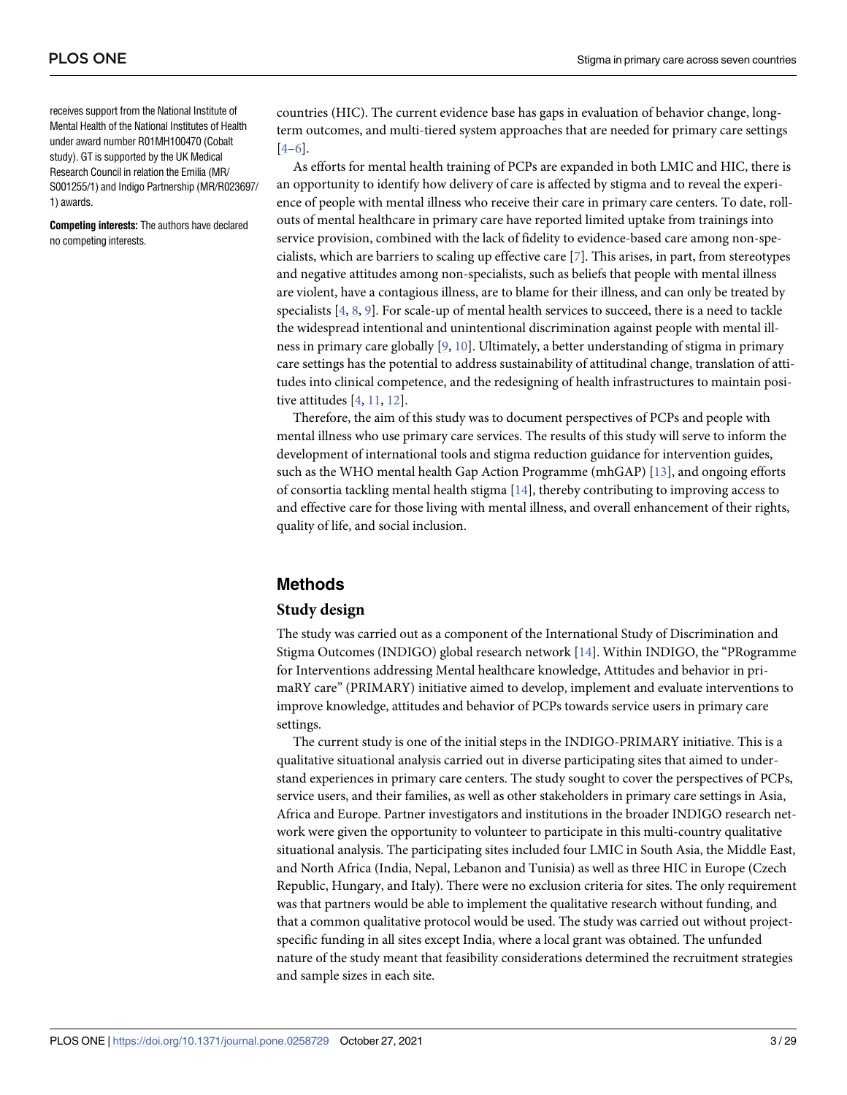<span id="page-2-0"></span>receives support from the National Institute of Mental Health of the National Institutes of Health under award number R01MH100470 (Cobalt study). GT is supported by the UK Medical Research Council in relation the Emilia (MR/ S001255/1) and Indigo Partnership (MR/R023697/ 1) awards.

**Competing interests:** The authors have declared no competing interests.

countries (HIC). The current evidence base has gaps in evaluation of behavior change, longterm outcomes, and multi-tiered system approaches that are needed for primary care settings [\[4–6](#page-26-0)].

As efforts for mental health training of PCPs are expanded in both LMIC and HIC, there is an opportunity to identify how delivery of care is affected by stigma and to reveal the experience of people with mental illness who receive their care in primary care centers. To date, rollouts of mental healthcare in primary care have reported limited uptake from trainings into service provision, combined with the lack of fidelity to evidence-based care among non-specialists, which are barriers to scaling up effective care [\[7\]](#page-26-0). This arises, in part, from stereotypes and negative attitudes among non-specialists, such as beliefs that people with mental illness are violent, have a contagious illness, are to blame for their illness, and can only be treated by specialists [\[4,](#page-26-0) [8](#page-26-0), [9](#page-26-0)]. For scale-up of mental health services to succeed, there is a need to tackle the widespread intentional and unintentional discrimination against people with mental illness in primary care globally [\[9](#page-26-0), [10](#page-26-0)]. Ultimately, a better understanding of stigma in primary care settings has the potential to address sustainability of attitudinal change, translation of attitudes into clinical competence, and the redesigning of health infrastructures to maintain positive attitudes [[4](#page-26-0), [11](#page-26-0), [12](#page-27-0)].

Therefore, the aim of this study was to document perspectives of PCPs and people with mental illness who use primary care services. The results of this study will serve to inform the development of international tools and stigma reduction guidance for intervention guides, such as the WHO mental health Gap Action Programme (mhGAP) [[13](#page-27-0)], and ongoing efforts of consortia tackling mental health stigma [\[14\]](#page-27-0), thereby contributing to improving access to and effective care for those living with mental illness, and overall enhancement of their rights, quality of life, and social inclusion.

## **Methods**

#### **Study design**

The study was carried out as a component of the International Study of Discrimination and Stigma Outcomes (INDIGO) global research network [[14\]](#page-27-0). Within INDIGO, the "PRogramme for Interventions addressing Mental healthcare knowledge, Attitudes and behavior in primaRY care" (PRIMARY) initiative aimed to develop, implement and evaluate interventions to improve knowledge, attitudes and behavior of PCPs towards service users in primary care settings.

The current study is one of the initial steps in the INDIGO-PRIMARY initiative. This is a qualitative situational analysis carried out in diverse participating sites that aimed to understand experiences in primary care centers. The study sought to cover the perspectives of PCPs, service users, and their families, as well as other stakeholders in primary care settings in Asia, Africa and Europe. Partner investigators and institutions in the broader INDIGO research network were given the opportunity to volunteer to participate in this multi-country qualitative situational analysis. The participating sites included four LMIC in South Asia, the Middle East, and North Africa (India, Nepal, Lebanon and Tunisia) as well as three HIC in Europe (Czech Republic, Hungary, and Italy). There were no exclusion criteria for sites. The only requirement was that partners would be able to implement the qualitative research without funding, and that a common qualitative protocol would be used. The study was carried out without projectspecific funding in all sites except India, where a local grant was obtained. The unfunded nature of the study meant that feasibility considerations determined the recruitment strategies and sample sizes in each site.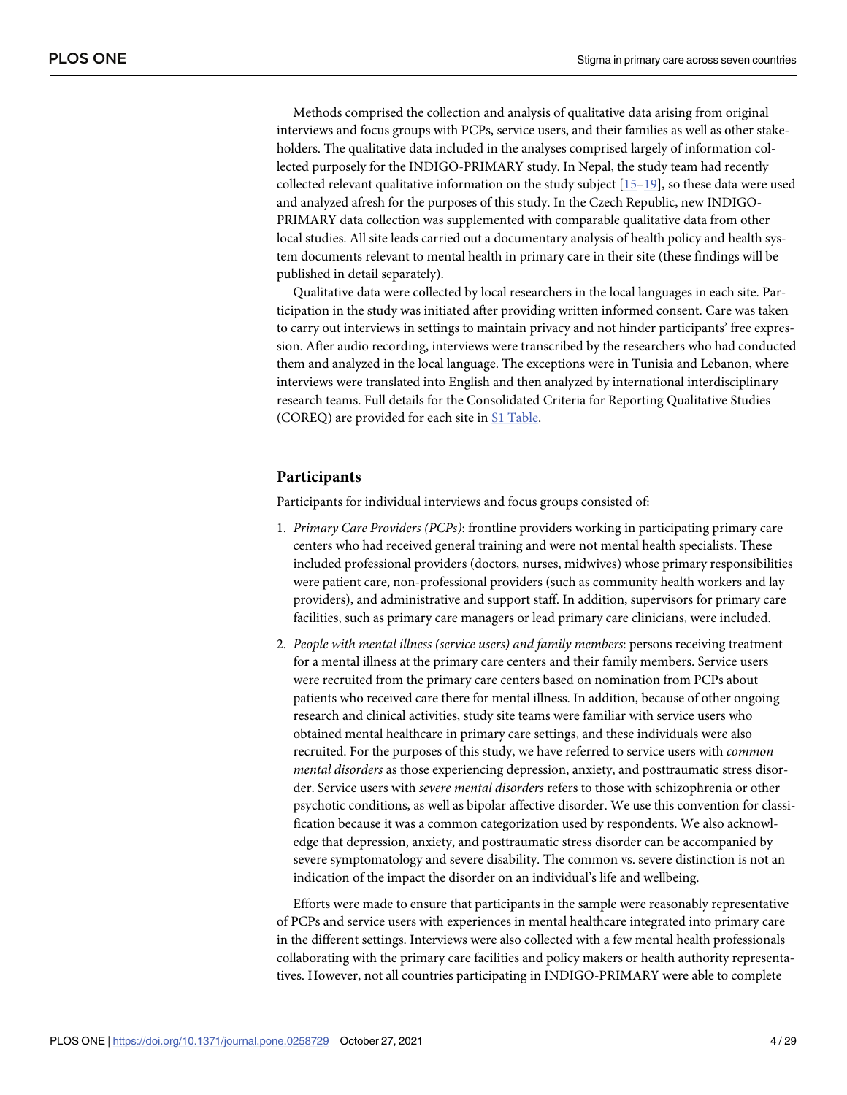<span id="page-3-0"></span>Methods comprised the collection and analysis of qualitative data arising from original interviews and focus groups with PCPs, service users, and their families as well as other stakeholders. The qualitative data included in the analyses comprised largely of information collected purposely for the INDIGO-PRIMARY study. In Nepal, the study team had recently collected relevant qualitative information on the study subject  $[15-19]$ , so these data were used and analyzed afresh for the purposes of this study. In the Czech Republic, new INDIGO-PRIMARY data collection was supplemented with comparable qualitative data from other local studies. All site leads carried out a documentary analysis of health policy and health system documents relevant to mental health in primary care in their site (these findings will be published in detail separately).

Qualitative data were collected by local researchers in the local languages in each site. Participation in the study was initiated after providing written informed consent. Care was taken to carry out interviews in settings to maintain privacy and not hinder participants' free expression. After audio recording, interviews were transcribed by the researchers who had conducted them and analyzed in the local language. The exceptions were in Tunisia and Lebanon, where interviews were translated into English and then analyzed by international interdisciplinary research teams. Full details for the Consolidated Criteria for Reporting Qualitative Studies (COREQ) are provided for each site in S1 [Table](#page-25-0).

## **Participants**

Participants for individual interviews and focus groups consisted of:

- 1. *Primary Care Providers (PCPs)*: frontline providers working in participating primary care centers who had received general training and were not mental health specialists. These included professional providers (doctors, nurses, midwives) whose primary responsibilities were patient care, non-professional providers (such as community health workers and lay providers), and administrative and support staff. In addition, supervisors for primary care facilities, such as primary care managers or lead primary care clinicians, were included.
- 2. *People with mental illness (service users) and family members*: persons receiving treatment for a mental illness at the primary care centers and their family members. Service users were recruited from the primary care centers based on nomination from PCPs about patients who received care there for mental illness. In addition, because of other ongoing research and clinical activities, study site teams were familiar with service users who obtained mental healthcare in primary care settings, and these individuals were also recruited. For the purposes of this study, we have referred to service users with *common mental disorders* as those experiencing depression, anxiety, and posttraumatic stress disorder. Service users with *severe mental disorders* refers to those with schizophrenia or other psychotic conditions, as well as bipolar affective disorder. We use this convention for classification because it was a common categorization used by respondents. We also acknowledge that depression, anxiety, and posttraumatic stress disorder can be accompanied by severe symptomatology and severe disability. The common vs. severe distinction is not an indication of the impact the disorder on an individual's life and wellbeing.

Efforts were made to ensure that participants in the sample were reasonably representative of PCPs and service users with experiences in mental healthcare integrated into primary care in the different settings. Interviews were also collected with a few mental health professionals collaborating with the primary care facilities and policy makers or health authority representatives. However, not all countries participating in INDIGO-PRIMARY were able to complete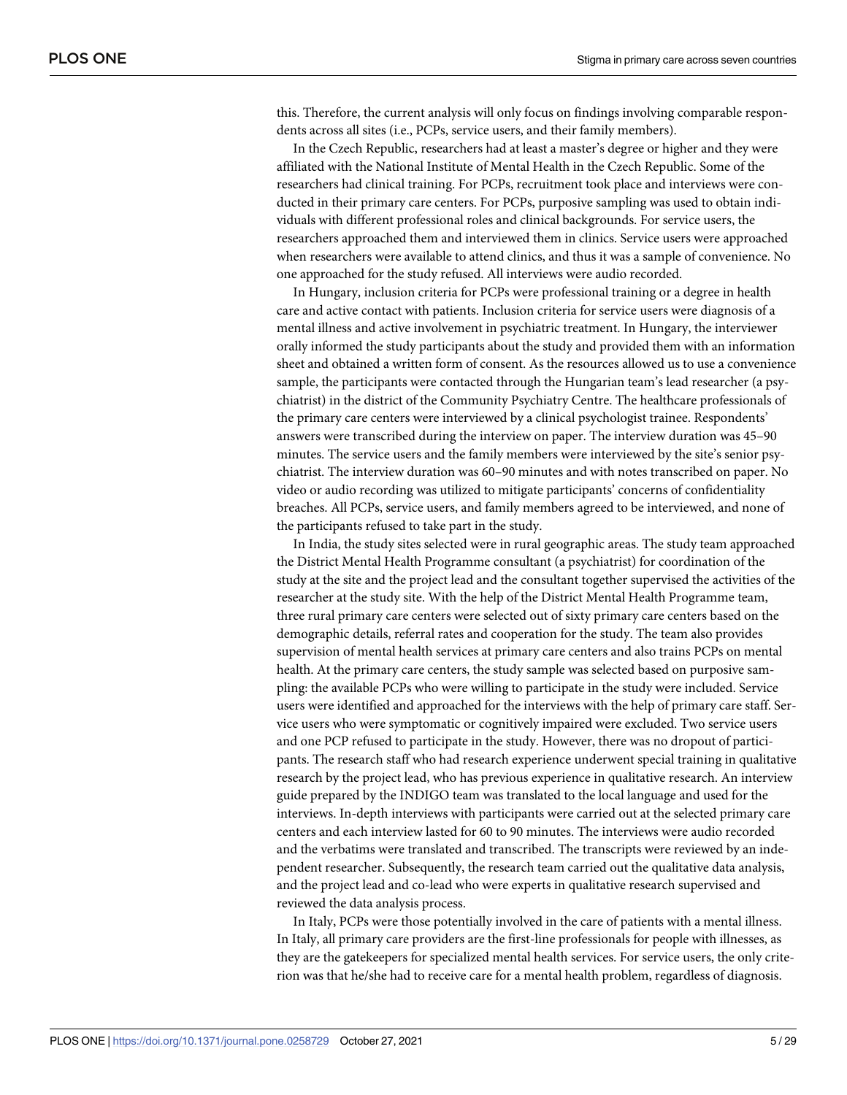this. Therefore, the current analysis will only focus on findings involving comparable respondents across all sites (i.e., PCPs, service users, and their family members).

In the Czech Republic, researchers had at least a master's degree or higher and they were affiliated with the National Institute of Mental Health in the Czech Republic. Some of the researchers had clinical training. For PCPs, recruitment took place and interviews were conducted in their primary care centers. For PCPs, purposive sampling was used to obtain individuals with different professional roles and clinical backgrounds. For service users, the researchers approached them and interviewed them in clinics. Service users were approached when researchers were available to attend clinics, and thus it was a sample of convenience. No one approached for the study refused. All interviews were audio recorded.

In Hungary, inclusion criteria for PCPs were professional training or a degree in health care and active contact with patients. Inclusion criteria for service users were diagnosis of a mental illness and active involvement in psychiatric treatment. In Hungary, the interviewer orally informed the study participants about the study and provided them with an information sheet and obtained a written form of consent. As the resources allowed us to use a convenience sample, the participants were contacted through the Hungarian team's lead researcher (a psychiatrist) in the district of the Community Psychiatry Centre. The healthcare professionals of the primary care centers were interviewed by a clinical psychologist trainee. Respondents' answers were transcribed during the interview on paper. The interview duration was 45–90 minutes. The service users and the family members were interviewed by the site's senior psychiatrist. The interview duration was 60–90 minutes and with notes transcribed on paper. No video or audio recording was utilized to mitigate participants' concerns of confidentiality breaches. All PCPs, service users, and family members agreed to be interviewed, and none of the participants refused to take part in the study.

In India, the study sites selected were in rural geographic areas. The study team approached the District Mental Health Programme consultant (a psychiatrist) for coordination of the study at the site and the project lead and the consultant together supervised the activities of the researcher at the study site. With the help of the District Mental Health Programme team, three rural primary care centers were selected out of sixty primary care centers based on the demographic details, referral rates and cooperation for the study. The team also provides supervision of mental health services at primary care centers and also trains PCPs on mental health. At the primary care centers, the study sample was selected based on purposive sampling: the available PCPs who were willing to participate in the study were included. Service users were identified and approached for the interviews with the help of primary care staff. Service users who were symptomatic or cognitively impaired were excluded. Two service users and one PCP refused to participate in the study. However, there was no dropout of participants. The research staff who had research experience underwent special training in qualitative research by the project lead, who has previous experience in qualitative research. An interview guide prepared by the INDIGO team was translated to the local language and used for the interviews. In-depth interviews with participants were carried out at the selected primary care centers and each interview lasted for 60 to 90 minutes. The interviews were audio recorded and the verbatims were translated and transcribed. The transcripts were reviewed by an independent researcher. Subsequently, the research team carried out the qualitative data analysis, and the project lead and co-lead who were experts in qualitative research supervised and reviewed the data analysis process.

In Italy, PCPs were those potentially involved in the care of patients with a mental illness. In Italy, all primary care providers are the first-line professionals for people with illnesses, as they are the gatekeepers for specialized mental health services. For service users, the only criterion was that he/she had to receive care for a mental health problem, regardless of diagnosis.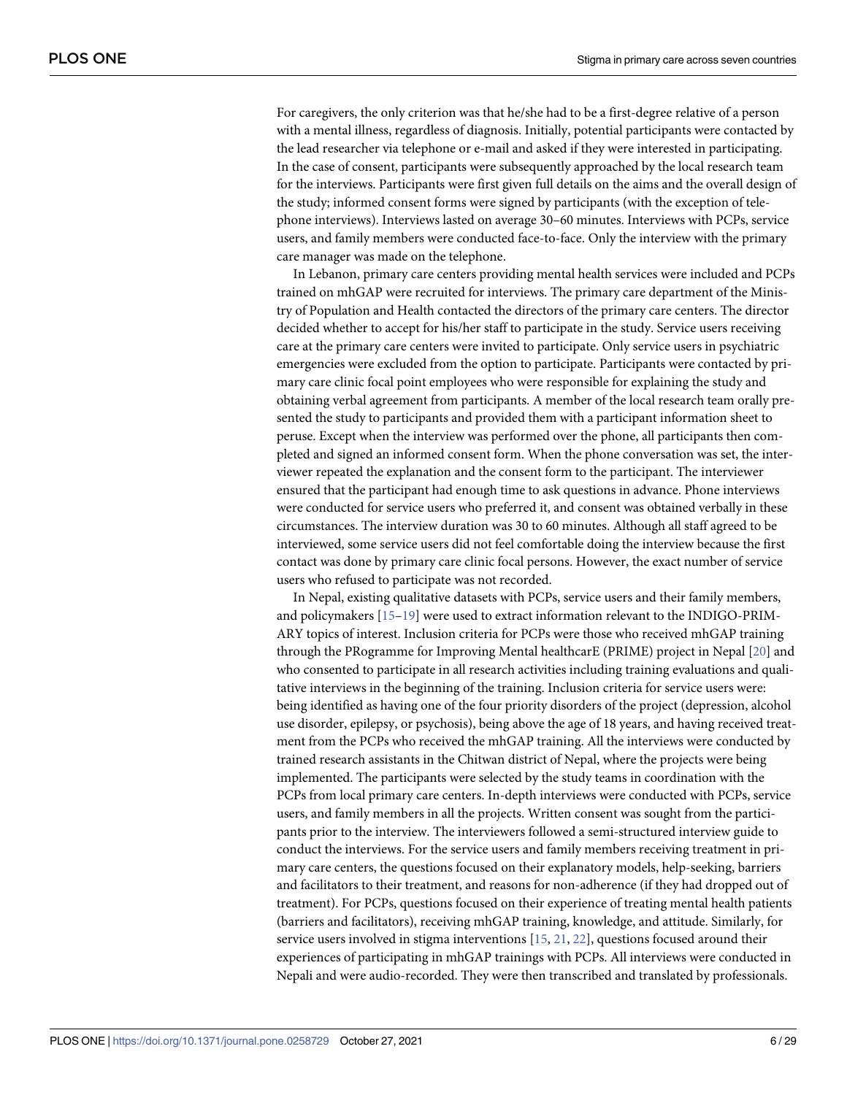<span id="page-5-0"></span>For caregivers, the only criterion was that he/she had to be a first-degree relative of a person with a mental illness, regardless of diagnosis. Initially, potential participants were contacted by the lead researcher via telephone or e-mail and asked if they were interested in participating. In the case of consent, participants were subsequently approached by the local research team for the interviews. Participants were first given full details on the aims and the overall design of the study; informed consent forms were signed by participants (with the exception of telephone interviews). Interviews lasted on average 30–60 minutes. Interviews with PCPs, service users, and family members were conducted face-to-face. Only the interview with the primary care manager was made on the telephone.

In Lebanon, primary care centers providing mental health services were included and PCPs trained on mhGAP were recruited for interviews. The primary care department of the Ministry of Population and Health contacted the directors of the primary care centers. The director decided whether to accept for his/her staff to participate in the study. Service users receiving care at the primary care centers were invited to participate. Only service users in psychiatric emergencies were excluded from the option to participate. Participants were contacted by primary care clinic focal point employees who were responsible for explaining the study and obtaining verbal agreement from participants. A member of the local research team orally presented the study to participants and provided them with a participant information sheet to peruse. Except when the interview was performed over the phone, all participants then completed and signed an informed consent form. When the phone conversation was set, the interviewer repeated the explanation and the consent form to the participant. The interviewer ensured that the participant had enough time to ask questions in advance. Phone interviews were conducted for service users who preferred it, and consent was obtained verbally in these circumstances. The interview duration was 30 to 60 minutes. Although all staff agreed to be interviewed, some service users did not feel comfortable doing the interview because the first contact was done by primary care clinic focal persons. However, the exact number of service users who refused to participate was not recorded.

In Nepal, existing qualitative datasets with PCPs, service users and their family members, and policymakers [\[15–19](#page-27-0)] were used to extract information relevant to the INDIGO-PRIM-ARY topics of interest. Inclusion criteria for PCPs were those who received mhGAP training through the PRogramme for Improving Mental healthcarE (PRIME) project in Nepal [\[20\]](#page-27-0) and who consented to participate in all research activities including training evaluations and qualitative interviews in the beginning of the training. Inclusion criteria for service users were: being identified as having one of the four priority disorders of the project (depression, alcohol use disorder, epilepsy, or psychosis), being above the age of 18 years, and having received treatment from the PCPs who received the mhGAP training. All the interviews were conducted by trained research assistants in the Chitwan district of Nepal, where the projects were being implemented. The participants were selected by the study teams in coordination with the PCPs from local primary care centers. In-depth interviews were conducted with PCPs, service users, and family members in all the projects. Written consent was sought from the participants prior to the interview. The interviewers followed a semi-structured interview guide to conduct the interviews. For the service users and family members receiving treatment in primary care centers, the questions focused on their explanatory models, help-seeking, barriers and facilitators to their treatment, and reasons for non-adherence (if they had dropped out of treatment). For PCPs, questions focused on their experience of treating mental health patients (barriers and facilitators), receiving mhGAP training, knowledge, and attitude. Similarly, for service users involved in stigma interventions [\[15,](#page-27-0) [21,](#page-27-0) [22\]](#page-27-0), questions focused around their experiences of participating in mhGAP trainings with PCPs. All interviews were conducted in Nepali and were audio-recorded. They were then transcribed and translated by professionals.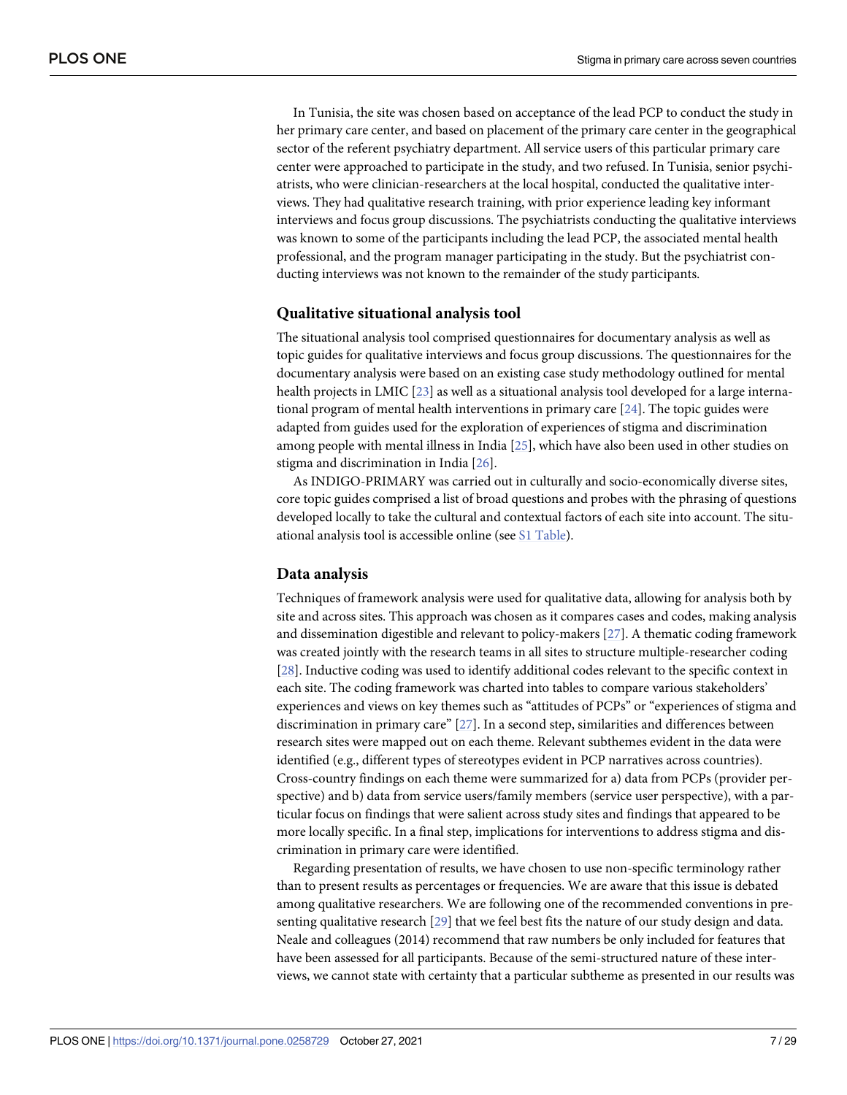<span id="page-6-0"></span>In Tunisia, the site was chosen based on acceptance of the lead PCP to conduct the study in her primary care center, and based on placement of the primary care center in the geographical sector of the referent psychiatry department. All service users of this particular primary care center were approached to participate in the study, and two refused. In Tunisia, senior psychiatrists, who were clinician-researchers at the local hospital, conducted the qualitative interviews. They had qualitative research training, with prior experience leading key informant interviews and focus group discussions. The psychiatrists conducting the qualitative interviews was known to some of the participants including the lead PCP, the associated mental health professional, and the program manager participating in the study. But the psychiatrist conducting interviews was not known to the remainder of the study participants.

#### **Qualitative situational analysis tool**

The situational analysis tool comprised questionnaires for documentary analysis as well as topic guides for qualitative interviews and focus group discussions. The questionnaires for the documentary analysis were based on an existing case study methodology outlined for mental health projects in LMIC [[23](#page-27-0)] as well as a situational analysis tool developed for a large international program of mental health interventions in primary care [[24\]](#page-27-0). The topic guides were adapted from guides used for the exploration of experiences of stigma and discrimination among people with mental illness in India [\[25\]](#page-27-0), which have also been used in other studies on stigma and discrimination in India [\[26\]](#page-27-0).

As INDIGO-PRIMARY was carried out in culturally and socio-economically diverse sites, core topic guides comprised a list of broad questions and probes with the phrasing of questions developed locally to take the cultural and contextual factors of each site into account. The situational analysis tool is accessible online (see S1 [Table](#page-25-0)).

#### **Data analysis**

Techniques of framework analysis were used for qualitative data, allowing for analysis both by site and across sites. This approach was chosen as it compares cases and codes, making analysis and dissemination digestible and relevant to policy-makers [\[27\]](#page-27-0). A thematic coding framework was created jointly with the research teams in all sites to structure multiple-researcher coding [\[28\]](#page-27-0). Inductive coding was used to identify additional codes relevant to the specific context in each site. The coding framework was charted into tables to compare various stakeholders' experiences and views on key themes such as "attitudes of PCPs" or "experiences of stigma and discrimination in primary care" [\[27\]](#page-27-0). In a second step, similarities and differences between research sites were mapped out on each theme. Relevant subthemes evident in the data were identified (e.g., different types of stereotypes evident in PCP narratives across countries). Cross-country findings on each theme were summarized for a) data from PCPs (provider perspective) and b) data from service users/family members (service user perspective), with a particular focus on findings that were salient across study sites and findings that appeared to be more locally specific. In a final step, implications for interventions to address stigma and discrimination in primary care were identified.

Regarding presentation of results, we have chosen to use non-specific terminology rather than to present results as percentages or frequencies. We are aware that this issue is debated among qualitative researchers. We are following one of the recommended conventions in presenting qualitative research [\[29\]](#page-27-0) that we feel best fits the nature of our study design and data. Neale and colleagues (2014) recommend that raw numbers be only included for features that have been assessed for all participants. Because of the semi-structured nature of these interviews, we cannot state with certainty that a particular subtheme as presented in our results was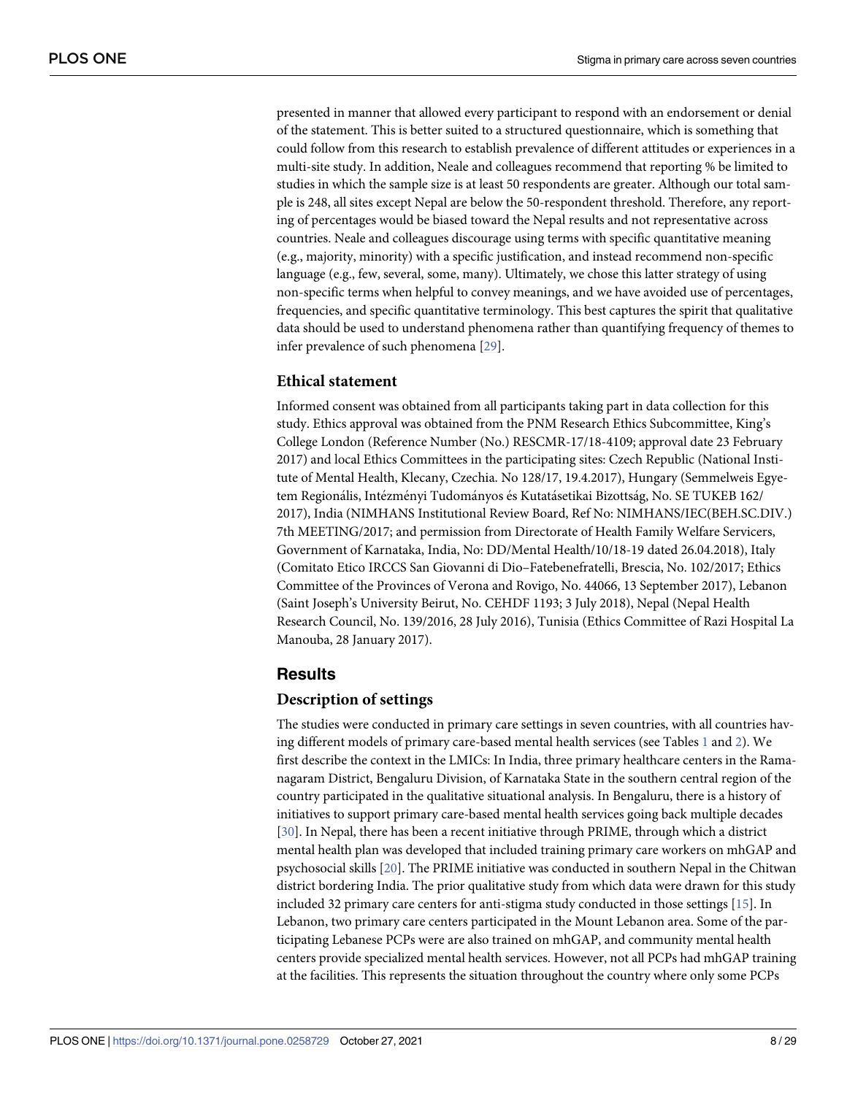<span id="page-7-0"></span>presented in manner that allowed every participant to respond with an endorsement or denial of the statement. This is better suited to a structured questionnaire, which is something that could follow from this research to establish prevalence of different attitudes or experiences in a multi-site study. In addition, Neale and colleagues recommend that reporting % be limited to studies in which the sample size is at least 50 respondents are greater. Although our total sample is 248, all sites except Nepal are below the 50-respondent threshold. Therefore, any reporting of percentages would be biased toward the Nepal results and not representative across countries. Neale and colleagues discourage using terms with specific quantitative meaning (e.g., majority, minority) with a specific justification, and instead recommend non-specific language (e.g., few, several, some, many). Ultimately, we chose this latter strategy of using non-specific terms when helpful to convey meanings, and we have avoided use of percentages, frequencies, and specific quantitative terminology. This best captures the spirit that qualitative data should be used to understand phenomena rather than quantifying frequency of themes to infer prevalence of such phenomena [[29](#page-27-0)].

### **Ethical statement**

Informed consent was obtained from all participants taking part in data collection for this study. Ethics approval was obtained from the PNM Research Ethics Subcommittee, King's College London (Reference Number (No.) RESCMR-17/18-4109; approval date 23 February 2017) and local Ethics Committees in the participating sites: Czech Republic (National Institute of Mental Health, Klecany, Czechia. No 128/17, 19.4.2017), Hungary (Semmelweis Egyetem Regionális, Intézményi Tudományos és Kutatásetikai Bizottság, No. SE TUKEB 162/ 2017), India (NIMHANS Institutional Review Board, Ref No: NIMHANS/IEC(BEH.SC.DIV.) 7th MEETING/2017; and permission from Directorate of Health Family Welfare Servicers, Government of Karnataka, India, No: DD/Mental Health/10/18-19 dated 26.04.2018), Italy (Comitato Etico IRCCS San Giovanni di Dio–Fatebenefratelli, Brescia, No. 102/2017; Ethics Committee of the Provinces of Verona and Rovigo, No. 44066, 13 September 2017), Lebanon (Saint Joseph's University Beirut, No. CEHDF 1193; 3 July 2018), Nepal (Nepal Health Research Council, No. 139/2016, 28 July 2016), Tunisia (Ethics Committee of Razi Hospital La Manouba, 28 January 2017).

### **Results**

#### **Description of settings**

The studies were conducted in primary care settings in seven countries, with all countries hav-ing different models of primary care-based mental health services (see Tables [1](#page-8-0) and [2\)](#page-10-0). We first describe the context in the LMICs: In India, three primary healthcare centers in the Ramanagaram District, Bengaluru Division, of Karnataka State in the southern central region of the country participated in the qualitative situational analysis. In Bengaluru, there is a history of initiatives to support primary care-based mental health services going back multiple decades [\[30\]](#page-27-0). In Nepal, there has been a recent initiative through PRIME, through which a district mental health plan was developed that included training primary care workers on mhGAP and psychosocial skills [[20](#page-27-0)]. The PRIME initiative was conducted in southern Nepal in the Chitwan district bordering India. The prior qualitative study from which data were drawn for this study included 32 primary care centers for anti-stigma study conducted in those settings [\[15\]](#page-27-0). In Lebanon, two primary care centers participated in the Mount Lebanon area. Some of the participating Lebanese PCPs were are also trained on mhGAP, and community mental health centers provide specialized mental health services. However, not all PCPs had mhGAP training at the facilities. This represents the situation throughout the country where only some PCPs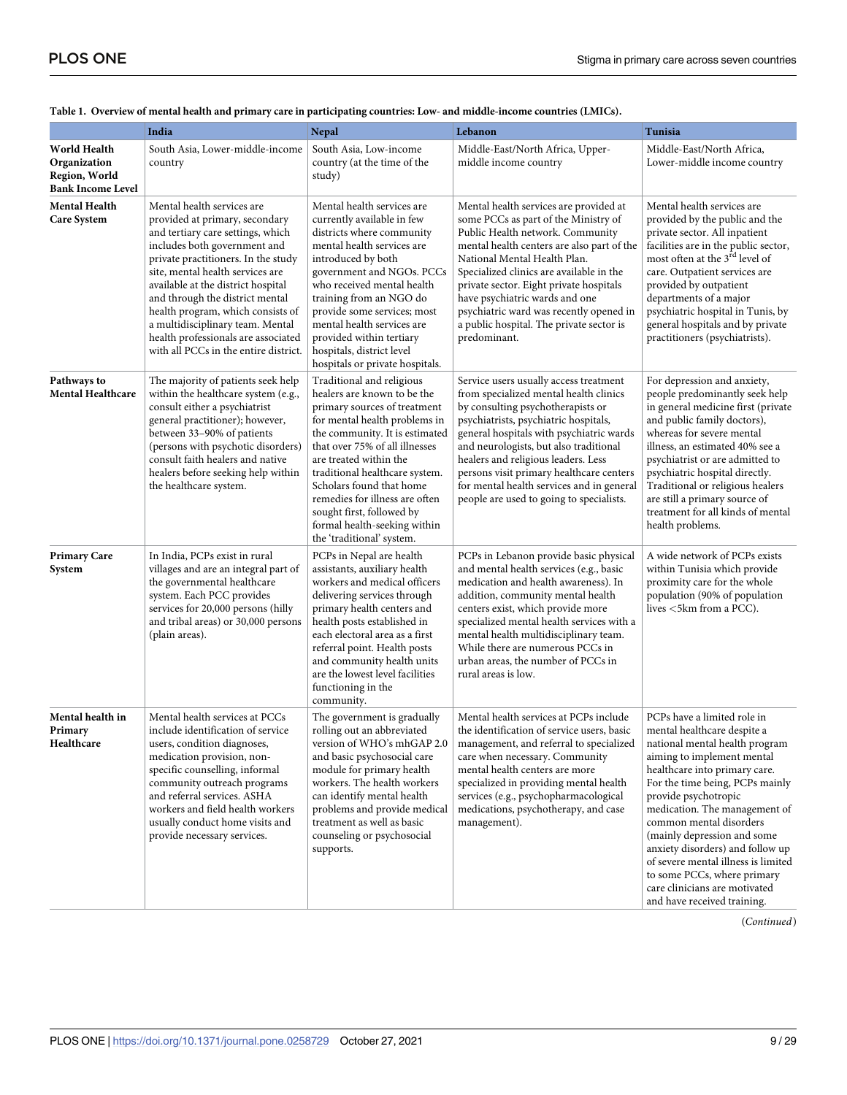| India                                                                     |                                                                                                                                                                                                                                                                                                                                                                                                                                                | <b>Nepal</b>                                                                                                                                                                                                                                                                                                                                                                                                      | Lebanon                                                                                                                                                                                                                                                                                                                                                                                                                          | Tunisia                                                                                                                                                                                                                                                                                                                                                                                                                                                                                     |  |  |
|---------------------------------------------------------------------------|------------------------------------------------------------------------------------------------------------------------------------------------------------------------------------------------------------------------------------------------------------------------------------------------------------------------------------------------------------------------------------------------------------------------------------------------|-------------------------------------------------------------------------------------------------------------------------------------------------------------------------------------------------------------------------------------------------------------------------------------------------------------------------------------------------------------------------------------------------------------------|----------------------------------------------------------------------------------------------------------------------------------------------------------------------------------------------------------------------------------------------------------------------------------------------------------------------------------------------------------------------------------------------------------------------------------|---------------------------------------------------------------------------------------------------------------------------------------------------------------------------------------------------------------------------------------------------------------------------------------------------------------------------------------------------------------------------------------------------------------------------------------------------------------------------------------------|--|--|
| World Health<br>Organization<br>Region, World<br><b>Bank Income Level</b> | South Asia, Lower-middle-income<br>country                                                                                                                                                                                                                                                                                                                                                                                                     | South Asia, Low-income<br>country (at the time of the<br>study)                                                                                                                                                                                                                                                                                                                                                   | Middle-East/North Africa, Upper-<br>middle income country                                                                                                                                                                                                                                                                                                                                                                        | Middle-East/North Africa,<br>Lower-middle income country                                                                                                                                                                                                                                                                                                                                                                                                                                    |  |  |
| <b>Mental Health</b><br><b>Care System</b>                                | Mental health services are<br>provided at primary, secondary<br>and tertiary care settings, which<br>includes both government and<br>private practitioners. In the study<br>site, mental health services are<br>available at the district hospital<br>and through the district mental<br>health program, which consists of<br>a multidisciplinary team. Mental<br>health professionals are associated<br>with all PCCs in the entire district. | Mental health services are<br>currently available in few<br>districts where community<br>mental health services are<br>introduced by both<br>government and NGOs. PCCs<br>who received mental health<br>training from an NGO do<br>provide some services; most<br>mental health services are<br>provided within tertiary<br>hospitals, district level<br>hospitals or private hospitals.                          | Mental health services are provided at<br>some PCCs as part of the Ministry of<br>Public Health network. Community<br>mental health centers are also part of the<br>National Mental Health Plan.<br>Specialized clinics are available in the<br>private sector. Eight private hospitals<br>have psychiatric wards and one<br>psychiatric ward was recently opened in<br>a public hospital. The private sector is<br>predominant. | Mental health services are<br>provided by the public and the<br>private sector. All inpatient<br>facilities are in the public sector,<br>most often at the 3 <sup>rd</sup> level of<br>care. Outpatient services are<br>provided by outpatient<br>departments of a major<br>psychiatric hospital in Tunis, by<br>general hospitals and by private<br>practitioners (psychiatrists).                                                                                                         |  |  |
| Pathways to<br><b>Mental Healthcare</b>                                   | The majority of patients seek help<br>within the healthcare system (e.g.,<br>consult either a psychiatrist<br>general practitioner); however,<br>between 33-90% of patients<br>(persons with psychotic disorders)<br>consult faith healers and native<br>healers before seeking help within<br>the healthcare system.                                                                                                                          | Traditional and religious<br>healers are known to be the<br>primary sources of treatment<br>for mental health problems in<br>the community. It is estimated<br>that over 75% of all illnesses<br>are treated within the<br>traditional healthcare system.<br>Scholars found that home<br>remedies for illness are often<br>sought first, followed by<br>formal health-seeking within<br>the 'traditional' system. | Service users usually access treatment<br>from specialized mental health clinics<br>by consulting psychotherapists or<br>psychiatrists, psychiatric hospitals,<br>general hospitals with psychiatric wards<br>and neurologists, but also traditional<br>healers and religious leaders. Less<br>persons visit primary healthcare centers<br>for mental health services and in general<br>people are used to going to specialists. | For depression and anxiety,<br>people predominantly seek help<br>in general medicine first (private<br>and public family doctors),<br>whereas for severe mental<br>illness, an estimated 40% see a<br>psychiatrist or are admitted to<br>psychiatric hospital directly.<br>Traditional or religious healers<br>are still a primary source of<br>treatment for all kinds of mental<br>health problems.                                                                                       |  |  |
| <b>Primary Care</b><br>System                                             | In India, PCPs exist in rural<br>villages and are an integral part of<br>the governmental healthcare<br>system. Each PCC provides<br>services for 20,000 persons (hilly<br>and tribal areas) or 30,000 persons<br>(plain areas).                                                                                                                                                                                                               | PCPs in Nepal are health<br>assistants, auxiliary health<br>workers and medical officers<br>delivering services through<br>primary health centers and<br>health posts established in<br>each electoral area as a first<br>referral point. Health posts<br>and community health units<br>are the lowest level facilities<br>functioning in the<br>community.                                                       | PCPs in Lebanon provide basic physical<br>and mental health services (e.g., basic<br>medication and health awareness). In<br>addition, community mental health<br>centers exist, which provide more<br>specialized mental health services with a<br>mental health multidisciplinary team.<br>While there are numerous PCCs in<br>urban areas, the number of PCCs in<br>rural areas is low.                                       | A wide network of PCPs exists<br>within Tunisia which provide<br>proximity care for the whole<br>population (90% of population<br>lives <5km from a PCC).                                                                                                                                                                                                                                                                                                                                   |  |  |
| Mental health in<br>Primary<br>Healthcare                                 | Mental health services at PCCs<br>include identification of service<br>users, condition diagnoses,<br>medication provision, non-<br>specific counselling, informal<br>community outreach programs<br>and referral services. ASHA<br>workers and field health workers<br>usually conduct home visits and<br>provide necessary services.                                                                                                         | The government is gradually<br>rolling out an abbreviated<br>version of WHO's mhGAP 2.0<br>and basic psychosocial care<br>module for primary health<br>workers. The health workers<br>can identify mental health<br>problems and provide medical<br>treatment as well as basic<br>counseling or psychosocial<br>supports.                                                                                         | Mental health services at PCPs include<br>the identification of service users, basic<br>management, and referral to specialized<br>care when necessary. Community<br>mental health centers are more<br>specialized in providing mental health<br>services (e.g., psychopharmacological<br>medications, psychotherapy, and case<br>management).                                                                                   | PCPs have a limited role in<br>mental healthcare despite a<br>national mental health program<br>aiming to implement mental<br>healthcare into primary care.<br>For the time being, PCPs mainly<br>provide psychotropic<br>medication. The management of<br>common mental disorders<br>(mainly depression and some<br>anxiety disorders) and follow up<br>of severe mental illness is limited<br>to some PCCs, where primary<br>care clinicians are motivated<br>and have received training. |  |  |

#### <span id="page-8-0"></span>[Table](#page-7-0) 1. Overview of mental health and primary care in participating countries: Low- and middle-income countries (LMICs).

(*Continued*)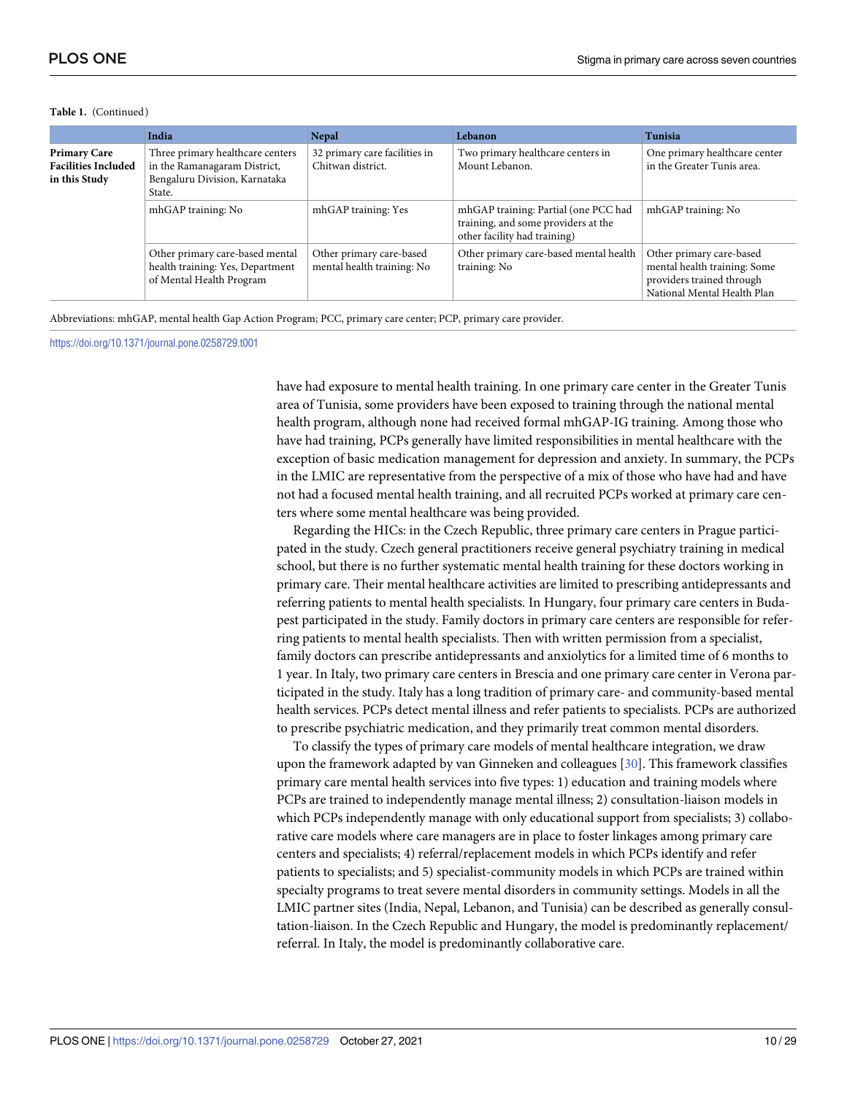|                                                                    | India                                                                                                       | <b>Nepal</b>                                           | Lebanon                                                                                                     | Tunisia                                                                                                              |
|--------------------------------------------------------------------|-------------------------------------------------------------------------------------------------------------|--------------------------------------------------------|-------------------------------------------------------------------------------------------------------------|----------------------------------------------------------------------------------------------------------------------|
| <b>Primary Care</b><br><b>Facilities Included</b><br>in this Study | Three primary healthcare centers<br>in the Ramanagaram District,<br>Bengaluru Division, Karnataka<br>State. | 32 primary care facilities in<br>Chitwan district.     | Two primary healthcare centers in<br>Mount Lebanon.                                                         | One primary healthcare center<br>in the Greater Tunis area.                                                          |
|                                                                    | mhGAP training: No                                                                                          | mhGAP training: Yes                                    | mhGAP training: Partial (one PCC had<br>training, and some providers at the<br>other facility had training) | mhGAP training: No                                                                                                   |
|                                                                    | Other primary care-based mental<br>health training: Yes, Department<br>of Mental Health Program             | Other primary care-based<br>mental health training: No | Other primary care-based mental health<br>training: No                                                      | Other primary care-based<br>mental health training: Some<br>providers trained through<br>National Mental Health Plan |

#### **Table 1.** (Continued)

Abbreviations: mhGAP, mental health Gap Action Program; PCC, primary care center; PCP, primary care provider.

<https://doi.org/10.1371/journal.pone.0258729.t001>

have had exposure to mental health training. In one primary care center in the Greater Tunis area of Tunisia, some providers have been exposed to training through the national mental health program, although none had received formal mhGAP-IG training. Among those who have had training, PCPs generally have limited responsibilities in mental healthcare with the exception of basic medication management for depression and anxiety. In summary, the PCPs in the LMIC are representative from the perspective of a mix of those who have had and have not had a focused mental health training, and all recruited PCPs worked at primary care centers where some mental healthcare was being provided.

Regarding the HICs: in the Czech Republic, three primary care centers in Prague participated in the study. Czech general practitioners receive general psychiatry training in medical school, but there is no further systematic mental health training for these doctors working in primary care. Their mental healthcare activities are limited to prescribing antidepressants and referring patients to mental health specialists. In Hungary, four primary care centers in Budapest participated in the study. Family doctors in primary care centers are responsible for referring patients to mental health specialists. Then with written permission from a specialist, family doctors can prescribe antidepressants and anxiolytics for a limited time of 6 months to 1 year. In Italy, two primary care centers in Brescia and one primary care center in Verona participated in the study. Italy has a long tradition of primary care- and community-based mental health services. PCPs detect mental illness and refer patients to specialists. PCPs are authorized to prescribe psychiatric medication, and they primarily treat common mental disorders.

To classify the types of primary care models of mental healthcare integration, we draw upon the framework adapted by van Ginneken and colleagues [[30](#page-27-0)]. This framework classifies primary care mental health services into five types: 1) education and training models where PCPs are trained to independently manage mental illness; 2) consultation-liaison models in which PCPs independently manage with only educational support from specialists; 3) collaborative care models where care managers are in place to foster linkages among primary care centers and specialists; 4) referral/replacement models in which PCPs identify and refer patients to specialists; and 5) specialist-community models in which PCPs are trained within specialty programs to treat severe mental disorders in community settings. Models in all the LMIC partner sites (India, Nepal, Lebanon, and Tunisia) can be described as generally consultation-liaison. In the Czech Republic and Hungary, the model is predominantly replacement/ referral. In Italy, the model is predominantly collaborative care.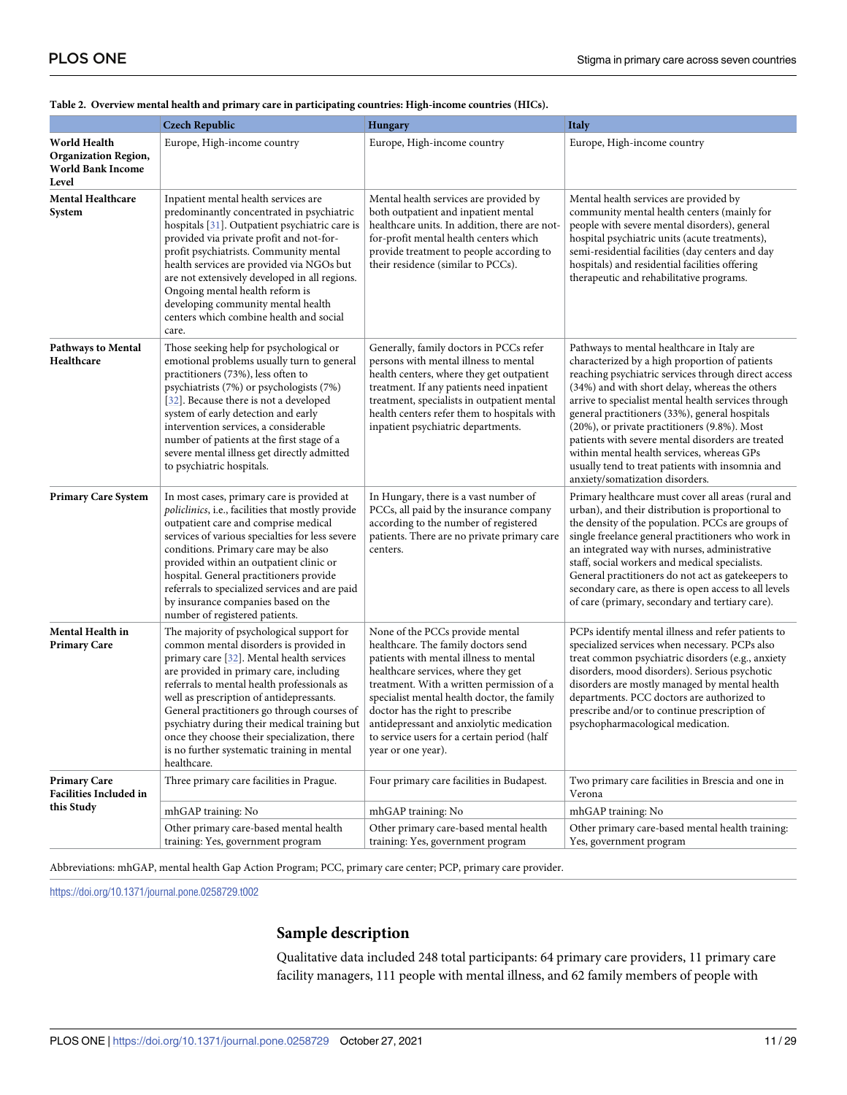|                                                                                  | <b>Czech Republic</b>                                                                                                                                                                                                                                                                                                                                                                                                                                                               | <b>Hungary</b>                                                                                                                                                                                                                                                                                                                                                                                            | <b>Italy</b>                                                                                                                                                                                                                                                                                                                                                                                                                                                                                                                                             |
|----------------------------------------------------------------------------------|-------------------------------------------------------------------------------------------------------------------------------------------------------------------------------------------------------------------------------------------------------------------------------------------------------------------------------------------------------------------------------------------------------------------------------------------------------------------------------------|-----------------------------------------------------------------------------------------------------------------------------------------------------------------------------------------------------------------------------------------------------------------------------------------------------------------------------------------------------------------------------------------------------------|----------------------------------------------------------------------------------------------------------------------------------------------------------------------------------------------------------------------------------------------------------------------------------------------------------------------------------------------------------------------------------------------------------------------------------------------------------------------------------------------------------------------------------------------------------|
| World Health<br><b>Organization Region,</b><br><b>World Bank Income</b><br>Level | Europe, High-income country                                                                                                                                                                                                                                                                                                                                                                                                                                                         | Europe, High-income country                                                                                                                                                                                                                                                                                                                                                                               | Europe, High-income country                                                                                                                                                                                                                                                                                                                                                                                                                                                                                                                              |
| <b>Mental Healthcare</b><br>System                                               | Inpatient mental health services are<br>predominantly concentrated in psychiatric<br>hospitals [31]. Outpatient psychiatric care is<br>provided via private profit and not-for-<br>profit psychiatrists. Community mental<br>health services are provided via NGOs but<br>are not extensively developed in all regions.<br>Ongoing mental health reform is<br>developing community mental health<br>centers which combine health and social<br>care.                                | Mental health services are provided by<br>both outpatient and inpatient mental<br>healthcare units. In addition, there are not-<br>for-profit mental health centers which<br>provide treatment to people according to<br>their residence (similar to PCCs).                                                                                                                                               | Mental health services are provided by<br>community mental health centers (mainly for<br>people with severe mental disorders), general<br>hospital psychiatric units (acute treatments),<br>semi-residential facilities (day centers and day<br>hospitals) and residential facilities offering<br>therapeutic and rehabilitative programs.                                                                                                                                                                                                               |
| <b>Pathways to Mental</b><br>Healthcare                                          | Those seeking help for psychological or<br>emotional problems usually turn to general<br>practitioners (73%), less often to<br>psychiatrists (7%) or psychologists (7%)<br>[32]. Because there is not a developed<br>system of early detection and early<br>intervention services, a considerable<br>number of patients at the first stage of a<br>severe mental illness get directly admitted<br>to psychiatric hospitals.                                                         | Generally, family doctors in PCCs refer<br>persons with mental illness to mental<br>health centers, where they get outpatient<br>treatment. If any patients need inpatient<br>treatment, specialists in outpatient mental<br>health centers refer them to hospitals with<br>inpatient psychiatric departments.                                                                                            | Pathways to mental healthcare in Italy are<br>characterized by a high proportion of patients<br>reaching psychiatric services through direct access<br>(34%) and with short delay, whereas the others<br>arrive to specialist mental health services through<br>general practitioners (33%), general hospitals<br>(20%), or private practitioners (9.8%). Most<br>patients with severe mental disorders are treated<br>within mental health services, whereas GPs<br>usually tend to treat patients with insomnia and<br>anxiety/somatization disorders. |
| <b>Primary Care System</b>                                                       | In most cases, primary care is provided at<br>policlinics, i.e., facilities that mostly provide<br>outpatient care and comprise medical<br>services of various specialties for less severe<br>conditions. Primary care may be also<br>provided within an outpatient clinic or<br>hospital. General practitioners provide<br>referrals to specialized services and are paid<br>by insurance companies based on the<br>number of registered patients.                                 | In Hungary, there is a vast number of<br>PCCs, all paid by the insurance company<br>according to the number of registered<br>patients. There are no private primary care<br>centers.                                                                                                                                                                                                                      | Primary healthcare must cover all areas (rural and<br>urban), and their distribution is proportional to<br>the density of the population. PCCs are groups of<br>single freelance general practitioners who work in<br>an integrated way with nurses, administrative<br>staff, social workers and medical specialists.<br>General practitioners do not act as gatekeepers to<br>secondary care, as there is open access to all levels<br>of care (primary, secondary and tertiary care).                                                                  |
| Mental Health in<br><b>Primary Care</b>                                          | The majority of psychological support for<br>common mental disorders is provided in<br>primary care [32]. Mental health services<br>are provided in primary care, including<br>referrals to mental health professionals as<br>well as prescription of antidepressants.<br>General practitioners go through courses of<br>psychiatry during their medical training but<br>once they choose their specialization, there<br>is no further systematic training in mental<br>healthcare. | None of the PCCs provide mental<br>healthcare. The family doctors send<br>patients with mental illness to mental<br>healthcare services, where they get<br>treatment. With a written permission of a<br>specialist mental health doctor, the family<br>doctor has the right to prescribe<br>antidepressant and anxiolytic medication<br>to service users for a certain period (half<br>year or one year). | PCPs identify mental illness and refer patients to<br>specialized services when necessary. PCPs also<br>treat common psychiatric disorders (e.g., anxiety<br>disorders, mood disorders). Serious psychotic<br>disorders are mostly managed by mental health<br>departments. PCC doctors are authorized to<br>prescribe and/or to continue prescription of<br>psychopharmacological medication.                                                                                                                                                           |
| <b>Primary Care</b><br><b>Facilities Included in</b>                             | Three primary care facilities in Prague.                                                                                                                                                                                                                                                                                                                                                                                                                                            | Four primary care facilities in Budapest.                                                                                                                                                                                                                                                                                                                                                                 | Two primary care facilities in Brescia and one in<br>Verona                                                                                                                                                                                                                                                                                                                                                                                                                                                                                              |
| this Study                                                                       | mhGAP training: No                                                                                                                                                                                                                                                                                                                                                                                                                                                                  | mhGAP training: No                                                                                                                                                                                                                                                                                                                                                                                        | mhGAP training: No                                                                                                                                                                                                                                                                                                                                                                                                                                                                                                                                       |
|                                                                                  | Other primary care-based mental health<br>training: Yes, government program                                                                                                                                                                                                                                                                                                                                                                                                         | Other primary care-based mental health<br>training: Yes, government program                                                                                                                                                                                                                                                                                                                               | Other primary care-based mental health training:<br>Yes, government program                                                                                                                                                                                                                                                                                                                                                                                                                                                                              |

#### <span id="page-10-0"></span>**[Table](#page-7-0) 2. Overview mental health and primary care in participating countries: High-income countries (HICs).**

Abbreviations: mhGAP, mental health Gap Action Program; PCC, primary care center; PCP, primary care provider.

<https://doi.org/10.1371/journal.pone.0258729.t002>

# **Sample description**

Qualitative data included 248 total participants: 64 primary care providers, 11 primary care facility managers, 111 people with mental illness, and 62 family members of people with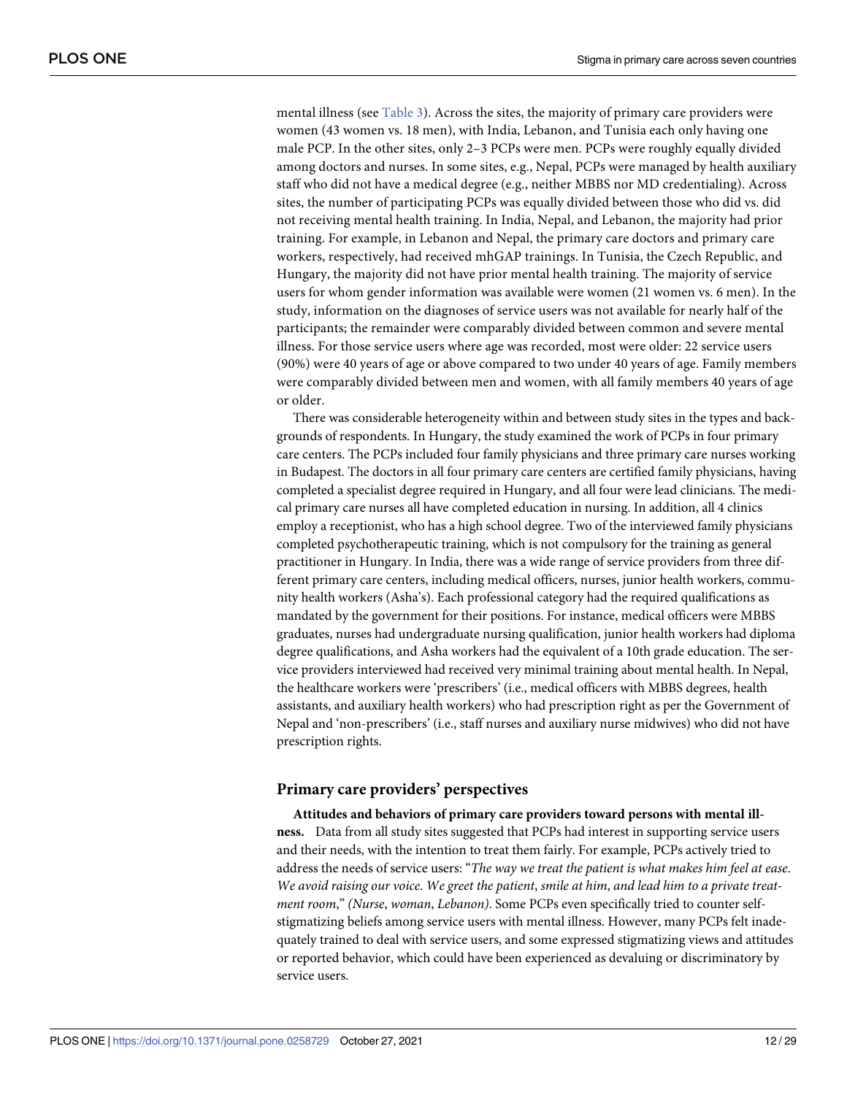<span id="page-11-0"></span>mental illness (see [Table](#page-12-0) 3). Across the sites, the majority of primary care providers were women (43 women vs. 18 men), with India, Lebanon, and Tunisia each only having one male PCP. In the other sites, only 2–3 PCPs were men. PCPs were roughly equally divided among doctors and nurses. In some sites, e.g., Nepal, PCPs were managed by health auxiliary staff who did not have a medical degree (e.g., neither MBBS nor MD credentialing). Across sites, the number of participating PCPs was equally divided between those who did vs. did not receiving mental health training. In India, Nepal, and Lebanon, the majority had prior training. For example, in Lebanon and Nepal, the primary care doctors and primary care workers, respectively, had received mhGAP trainings. In Tunisia, the Czech Republic, and Hungary, the majority did not have prior mental health training. The majority of service users for whom gender information was available were women (21 women vs. 6 men). In the study, information on the diagnoses of service users was not available for nearly half of the participants; the remainder were comparably divided between common and severe mental illness. For those service users where age was recorded, most were older: 22 service users (90%) were 40 years of age or above compared to two under 40 years of age. Family members were comparably divided between men and women, with all family members 40 years of age or older.

There was considerable heterogeneity within and between study sites in the types and backgrounds of respondents. In Hungary, the study examined the work of PCPs in four primary care centers. The PCPs included four family physicians and three primary care nurses working in Budapest. The doctors in all four primary care centers are certified family physicians, having completed a specialist degree required in Hungary, and all four were lead clinicians. The medical primary care nurses all have completed education in nursing. In addition, all 4 clinics employ a receptionist, who has a high school degree. Two of the interviewed family physicians completed psychotherapeutic training, which is not compulsory for the training as general practitioner in Hungary. In India, there was a wide range of service providers from three different primary care centers, including medical officers, nurses, junior health workers, community health workers (Asha's). Each professional category had the required qualifications as mandated by the government for their positions. For instance, medical officers were MBBS graduates, nurses had undergraduate nursing qualification, junior health workers had diploma degree qualifications, and Asha workers had the equivalent of a 10th grade education. The service providers interviewed had received very minimal training about mental health. In Nepal, the healthcare workers were 'prescribers' (i.e., medical officers with MBBS degrees, health assistants, and auxiliary health workers) who had prescription right as per the Government of Nepal and 'non-prescribers' (i.e., staff nurses and auxiliary nurse midwives) who did not have prescription rights.

### **Primary care providers' perspectives**

**Attitudes and behaviors of primary care providers toward persons with mental illness.** Data from all study sites suggested that PCPs had interest in supporting service users and their needs, with the intention to treat them fairly. For example, PCPs actively tried to address the needs of service users: "*The way we treat the patient is what makes him feel at ease*. We avoid raising our voice. We greet the patient, smile at him, and lead him to a private treat*ment room*," *(Nurse*, *woman*, *Lebanon)*. Some PCPs even specifically tried to counter selfstigmatizing beliefs among service users with mental illness. However, many PCPs felt inadequately trained to deal with service users, and some expressed stigmatizing views and attitudes or reported behavior, which could have been experienced as devaluing or discriminatory by service users.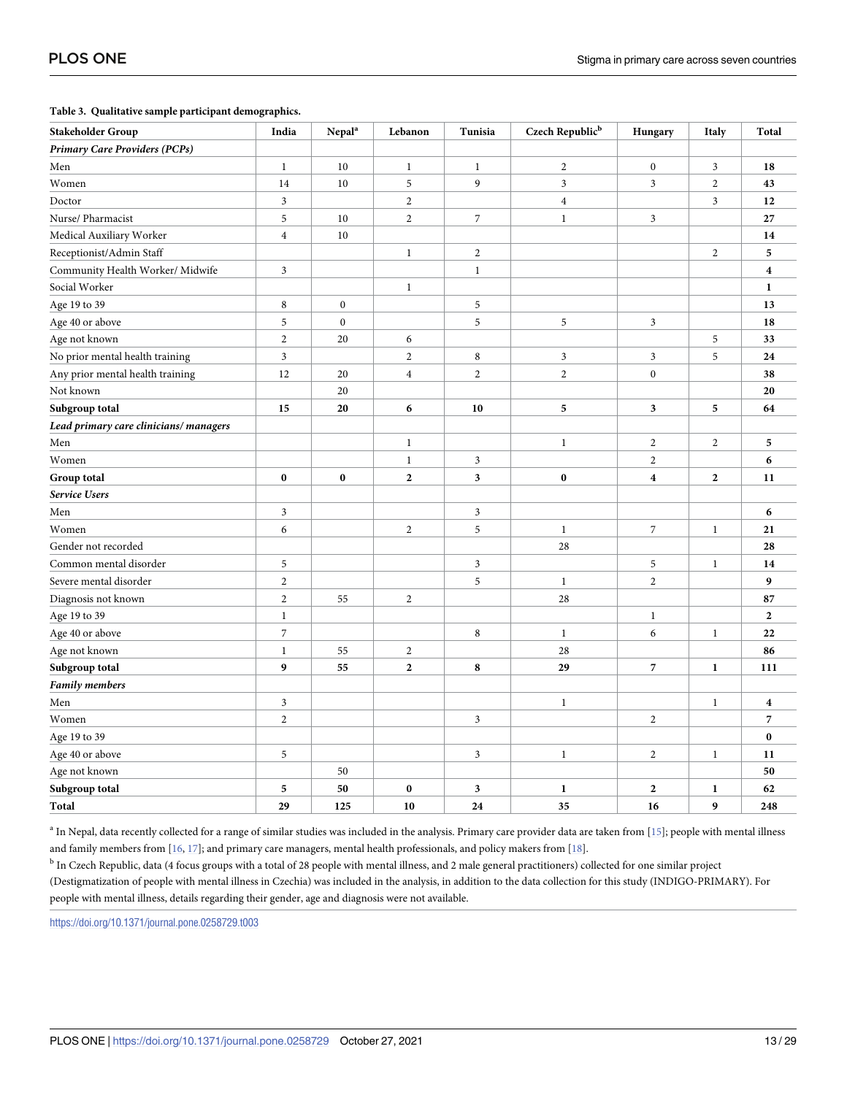#### <span id="page-12-0"></span>**[Table](#page-11-0) 3. Qualitative sample participant demographics.**

| <b>Stakeholder Group</b>              | India                   | $\ensuremath{\mathbf{N}}\xspace\ensuremath{\mathbf{e}}\xspace\ensuremath{\mathbf{p}}\xspace\ensuremath{\mathbf{a}}\xspace\ensuremath{\mathbf{l}}\xspace^{\mathrm{a}}$ | Lebanon                 | Tunisia                 | Czech Republic <sup>b</sup> | Hungary                 | Italy            | Total                   |
|---------------------------------------|-------------------------|-----------------------------------------------------------------------------------------------------------------------------------------------------------------------|-------------------------|-------------------------|-----------------------------|-------------------------|------------------|-------------------------|
| Primary Care Providers (PCPs)         |                         |                                                                                                                                                                       |                         |                         |                             |                         |                  |                         |
| Men                                   | $\mathbf{1}$            | 10                                                                                                                                                                    | $\mathbf{1}$            | $\mathbf{1}$            | $\overline{2}$              | $\overline{0}$          | $\mathfrak{Z}$   | 18                      |
| Women                                 | 14                      | 10                                                                                                                                                                    | 5                       | 9                       | $\ensuremath{\mathfrak{Z}}$ | 3                       | $\overline{c}$   | 43                      |
| Doctor                                | $\mathfrak{Z}$          |                                                                                                                                                                       | $\overline{c}$          |                         | $\overline{4}$              |                         | $\mathfrak{Z}$   | 12                      |
| Nurse/ Pharmacist                     | 5                       | 10                                                                                                                                                                    | $\overline{2}$          | $\overline{7}$          | $\mathbf{1}$                | $\mathfrak{Z}$          |                  | 27                      |
| Medical Auxiliary Worker              | $\overline{\mathbf{4}}$ | 10                                                                                                                                                                    |                         |                         |                             |                         |                  | 14                      |
| Receptionist/Admin Staff              |                         |                                                                                                                                                                       | $\,1$                   | $\sqrt{2}$              |                             |                         | $\sqrt{2}$       | 5                       |
| Community Health Worker/ Midwife      | 3                       |                                                                                                                                                                       |                         | $\mathbf{1}$            |                             |                         |                  | $\overline{\mathbf{4}}$ |
| Social Worker                         |                         |                                                                                                                                                                       | $\mathbf{1}$            |                         |                             |                         |                  | 1                       |
| Age 19 to 39                          | 8                       | $\boldsymbol{0}$                                                                                                                                                      |                         | 5                       |                             |                         |                  | 13                      |
| Age 40 or above                       | 5                       | $\boldsymbol{0}$                                                                                                                                                      |                         | 5                       | $\sqrt{5}$                  | 3                       |                  | 18                      |
| Age not known                         | $\overline{c}$          | 20                                                                                                                                                                    | 6                       |                         |                             |                         | 5                | 33                      |
| No prior mental health training       | 3                       |                                                                                                                                                                       | $\overline{\mathbf{c}}$ | 8                       | $\mathfrak{Z}$              | 3                       | 5                | 24                      |
| Any prior mental health training      | 12                      | 20                                                                                                                                                                    | $\overline{\mathbf{4}}$ | $\overline{c}$          | $\sqrt{2}$                  | $\overline{0}$          |                  | 38                      |
| Not known                             |                         | 20                                                                                                                                                                    |                         |                         |                             |                         |                  | 20                      |
| Subgroup total                        | 15                      | 20                                                                                                                                                                    | 6                       | 10                      | 5                           | 3                       | 5                | 64                      |
| Lead primary care clinicians/managers |                         |                                                                                                                                                                       |                         |                         |                             |                         |                  |                         |
| Men                                   |                         |                                                                                                                                                                       | $\mathbf{1}$            |                         | $\mathbf{1}$                | $\overline{c}$          | $\overline{2}$   | 5                       |
| Women                                 |                         |                                                                                                                                                                       | $\mathbf{1}$            | $\mathfrak{Z}$          |                             | $\overline{c}$          |                  | 6                       |
| Group total                           | $\bf{0}$                | $\bf{0}$                                                                                                                                                              | $\mathbf{2}$            | 3                       | $\bf{0}$                    | $\overline{\mathbf{4}}$ | $\boldsymbol{2}$ | 11                      |
| <b>Service Users</b>                  |                         |                                                                                                                                                                       |                         |                         |                             |                         |                  |                         |
| Men                                   | 3                       |                                                                                                                                                                       |                         | 3                       |                             |                         |                  | 6                       |
| Women                                 | 6                       |                                                                                                                                                                       | $\overline{c}$          | 5                       | $\mathbf{1}$                | $\overline{7}$          | $\mathbf{1}$     | 21                      |
| Gender not recorded                   |                         |                                                                                                                                                                       |                         |                         | 28                          |                         |                  | 28                      |
| Common mental disorder                | 5                       |                                                                                                                                                                       |                         | $\overline{\mathbf{3}}$ |                             | 5                       | $\mathbf{1}$     | 14                      |
| Severe mental disorder                | $\overline{c}$          |                                                                                                                                                                       |                         | 5                       | $\mathbf{1}$                | $\overline{c}$          |                  | 9                       |
| Diagnosis not known                   | $\overline{c}$          | 55                                                                                                                                                                    | $\overline{c}$          |                         | 28                          |                         |                  | 87                      |
| Age 19 to 39                          | $\,1$                   |                                                                                                                                                                       |                         |                         |                             | $\,1$                   |                  | $\mathbf{2}$            |
| Age 40 or above                       | $\overline{7}$          |                                                                                                                                                                       |                         | 8                       | $\mathbf{1}$                | 6                       | $\mathbf{1}$     | 22                      |
| Age not known                         | $\,1$                   | 55                                                                                                                                                                    | $\overline{c}$          |                         | 28                          |                         |                  | 86                      |
| Subgroup total                        | 9                       | 55                                                                                                                                                                    | $\mathbf{2}$            | 8                       | 29                          | 7                       | $\mathbf{1}$     | 111                     |
| <b>Family members</b>                 |                         |                                                                                                                                                                       |                         |                         |                             |                         |                  |                         |
| Men                                   | 3                       |                                                                                                                                                                       |                         |                         | $\mathbf{1}$                |                         | $\mathbf{1}$     | $\boldsymbol{4}$        |
| Women                                 | $\overline{c}$          |                                                                                                                                                                       |                         | $\overline{\mathbf{3}}$ |                             | $\overline{c}$          |                  | 7                       |
| Age 19 to 39                          |                         |                                                                                                                                                                       |                         |                         |                             |                         |                  | $\bf{0}$                |
| Age 40 or above                       | 5                       |                                                                                                                                                                       |                         | $\mathfrak{Z}$          | $\,1$                       | $\mathbf{2}$            | $\mathbf{1}$     | 11                      |
| Age not known                         |                         | 50                                                                                                                                                                    |                         |                         |                             |                         |                  | 50                      |
| Subgroup total                        | 5                       | 50                                                                                                                                                                    | $\bf{0}$                | 3                       | $\mathbf{1}$                | $\mathbf{2}$            | $\mathbf{1}$     | 62                      |
| Total                                 | 29                      | 125                                                                                                                                                                   | 10                      | 24                      | 35                          | 16                      | 9                | 248                     |

<sup>a</sup> In Nepal, data recently collected for a range of similar studies was included in the analysis. Primary care provider data are taken from [[15](#page-27-0)]; people with mental illness and family members from [\[16,](#page-27-0) [17](#page-27-0)]; and primary care managers, mental health professionals, and policy makers from [\[18](#page-27-0)].

<sup>b</sup> In Czech Republic, data (4 focus groups with a total of 28 people with mental illness, and 2 male general practitioners) collected for one similar project (Destigmatization of people with mental illness in Czechia) was included in the analysis, in addition to the data collection for this study (INDIGO-PRIMARY). For people with mental illness, details regarding their gender, age and diagnosis were not available.

<https://doi.org/10.1371/journal.pone.0258729.t003>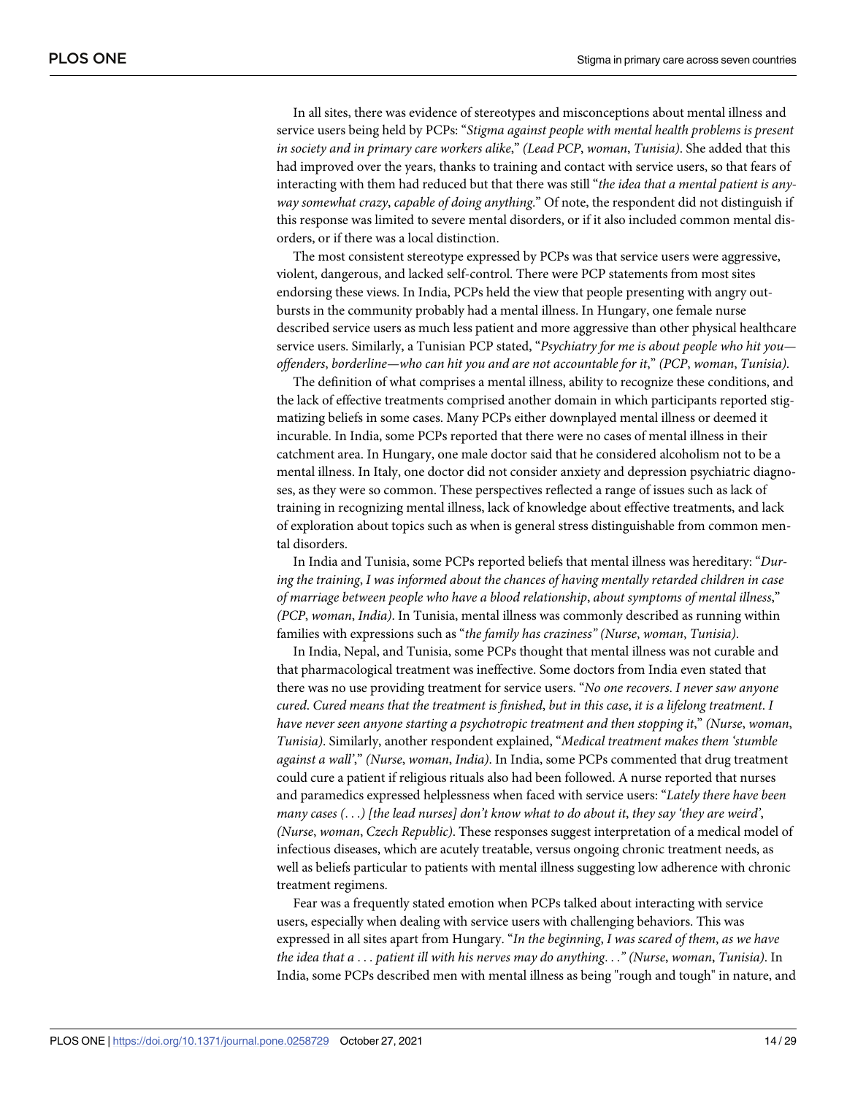In all sites, there was evidence of stereotypes and misconceptions about mental illness and service users being held by PCPs: "*Stigma against people with mental health problems is present in society and in primary care workers alike*," *(Lead PCP*, *woman*, *Tunisia)*. She added that this had improved over the years, thanks to training and contact with service users, so that fears of interacting with them had reduced but that there was still "*the idea that a mental patient is anyway somewhat crazy*, *capable of doing anything*." Of note, the respondent did not distinguish if this response was limited to severe mental disorders, or if it also included common mental disorders, or if there was a local distinction.

The most consistent stereotype expressed by PCPs was that service users were aggressive, violent, dangerous, and lacked self-control. There were PCP statements from most sites endorsing these views. In India, PCPs held the view that people presenting with angry outbursts in the community probably had a mental illness. In Hungary, one female nurse described service users as much less patient and more aggressive than other physical healthcare service users. Similarly, a Tunisian PCP stated, "*Psychiatry for me is about people who hit you offenders*, *borderline—who can hit you and are not accountable for it*," *(PCP*, *woman*, *Tunisia)*.

The definition of what comprises a mental illness, ability to recognize these conditions, and the lack of effective treatments comprised another domain in which participants reported stigmatizing beliefs in some cases. Many PCPs either downplayed mental illness or deemed it incurable. In India, some PCPs reported that there were no cases of mental illness in their catchment area. In Hungary, one male doctor said that he considered alcoholism not to be a mental illness. In Italy, one doctor did not consider anxiety and depression psychiatric diagnoses, as they were so common. These perspectives reflected a range of issues such as lack of training in recognizing mental illness, lack of knowledge about effective treatments, and lack of exploration about topics such as when is general stress distinguishable from common mental disorders.

In India and Tunisia, some PCPs reported beliefs that mental illness was hereditary: "*During the training*, *I was informed about the chances of having mentally retarded children in case of marriage between people who have a blood relationship*, *about symptoms of mental illness*," *(PCP*, *woman*, *India)*. In Tunisia, mental illness was commonly described as running within families with expressions such as "*the family has craziness" (Nurse*, *woman*, *Tunisia)*.

In India, Nepal, and Tunisia, some PCPs thought that mental illness was not curable and that pharmacological treatment was ineffective. Some doctors from India even stated that there was no use providing treatment for service users. "*No one recovers*. *I never saw anyone cured*. *Cured means that the treatment is finished*, *but in this case*, *it is a lifelong treatment*. *I have never seen anyone starting a psychotropic treatment and then stopping it*," *(Nurse*, *woman*, *Tunisia)*. Similarly, another respondent explained, "*Medical treatment makes them 'stumble against a wall'*," *(Nurse*, *woman*, *India)*. In India, some PCPs commented that drug treatment could cure a patient if religious rituals also had been followed. A nurse reported that nurses and paramedics expressed helplessness when faced with service users: "*Lately there have been* many cases  $(\ldots)$  [the lead nurses] don't know what to do about it, they say 'they are weird', *(Nurse*, *woman*, *Czech Republic)*. These responses suggest interpretation of a medical model of infectious diseases, which are acutely treatable, versus ongoing chronic treatment needs, as well as beliefs particular to patients with mental illness suggesting low adherence with chronic treatment regimens.

Fear was a frequently stated emotion when PCPs talked about interacting with service users, especially when dealing with service users with challenging behaviors. This was expressed in all sites apart from Hungary. "*In the beginning*, *I was scared of them*, *as we have the idea that a* . . . *patient ill with his nerves may do anything*. . .*" (Nurse*, *woman*, *Tunisia)*. In India, some PCPs described men with mental illness as being "rough and tough" in nature, and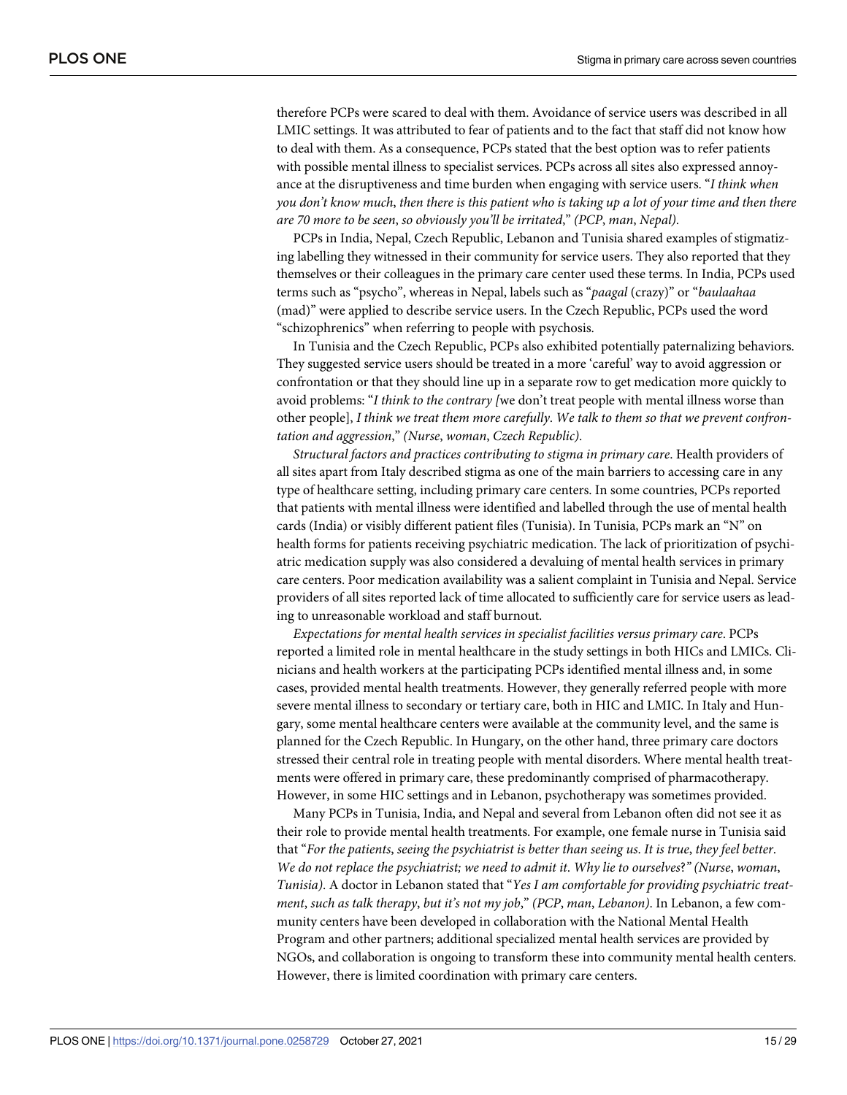therefore PCPs were scared to deal with them. Avoidance of service users was described in all LMIC settings. It was attributed to fear of patients and to the fact that staff did not know how to deal with them. As a consequence, PCPs stated that the best option was to refer patients with possible mental illness to specialist services. PCPs across all sites also expressed annoyance at the disruptiveness and time burden when engaging with service users. "*I think when* you don't know much, then there is this patient who is taking up a lot of your time and then there *are 70 more to be seen*, *so obviously you'll be irritated*," *(PCP*, *man*, *Nepal)*.

PCPs in India, Nepal, Czech Republic, Lebanon and Tunisia shared examples of stigmatizing labelling they witnessed in their community for service users. They also reported that they themselves or their colleagues in the primary care center used these terms. In India, PCPs used terms such as "psycho", whereas in Nepal, labels such as "*paagal* (crazy)" or "*baulaahaa* (mad)" were applied to describe service users. In the Czech Republic, PCPs used the word "schizophrenics" when referring to people with psychosis.

In Tunisia and the Czech Republic, PCPs also exhibited potentially paternalizing behaviors. They suggested service users should be treated in a more 'careful' way to avoid aggression or confrontation or that they should line up in a separate row to get medication more quickly to avoid problems: "*I think to the contrary [*we don't treat people with mental illness worse than other people], *I think we treat them more carefully*. *We talk to them so that we prevent confrontation and aggression*," *(Nurse*, *woman*, *Czech Republic)*.

*Structural factors and practices contributing to stigma in primary care*. Health providers of all sites apart from Italy described stigma as one of the main barriers to accessing care in any type of healthcare setting, including primary care centers. In some countries, PCPs reported that patients with mental illness were identified and labelled through the use of mental health cards (India) or visibly different patient files (Tunisia). In Tunisia, PCPs mark an "N" on health forms for patients receiving psychiatric medication. The lack of prioritization of psychiatric medication supply was also considered a devaluing of mental health services in primary care centers. Poor medication availability was a salient complaint in Tunisia and Nepal. Service providers of all sites reported lack of time allocated to sufficiently care for service users as leading to unreasonable workload and staff burnout.

*Expectations for mental health services in specialist facilities versus primary care*. PCPs reported a limited role in mental healthcare in the study settings in both HICs and LMICs. Clinicians and health workers at the participating PCPs identified mental illness and, in some cases, provided mental health treatments. However, they generally referred people with more severe mental illness to secondary or tertiary care, both in HIC and LMIC. In Italy and Hungary, some mental healthcare centers were available at the community level, and the same is planned for the Czech Republic. In Hungary, on the other hand, three primary care doctors stressed their central role in treating people with mental disorders. Where mental health treatments were offered in primary care, these predominantly comprised of pharmacotherapy. However, in some HIC settings and in Lebanon, psychotherapy was sometimes provided.

Many PCPs in Tunisia, India, and Nepal and several from Lebanon often did not see it as their role to provide mental health treatments. For example, one female nurse in Tunisia said that "*For the patients*, *seeing the psychiatrist is better than seeing us*. *It is true*, *they feel better*. *We do not replace the psychiatrist; we need to admit it*. *Why lie to ourselves*?*" (Nurse*, *woman*, *Tunisia)*. A doctor in Lebanon stated that "*Yes I am comfortable for providing psychiatric treatment*, *such as talk therapy*, *but it's not my job*," *(PCP*, *man*, *Lebanon)*. In Lebanon, a few community centers have been developed in collaboration with the National Mental Health Program and other partners; additional specialized mental health services are provided by NGOs, and collaboration is ongoing to transform these into community mental health centers. However, there is limited coordination with primary care centers.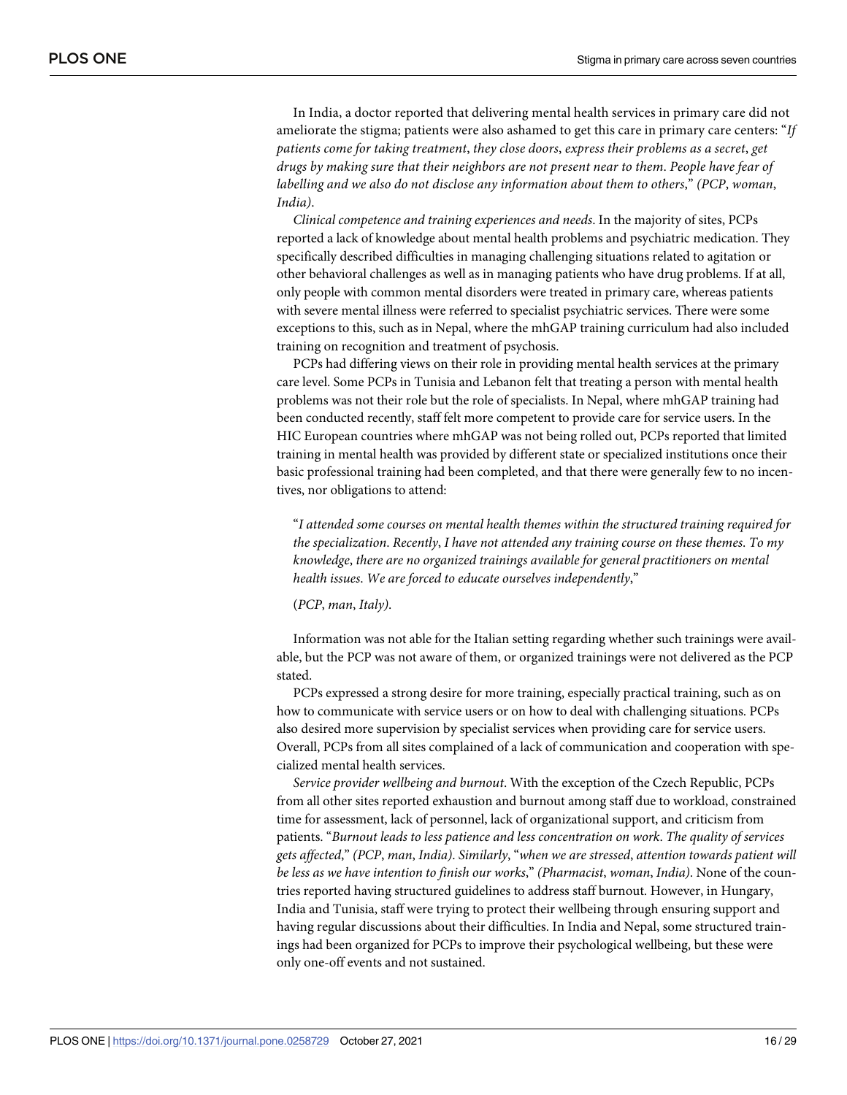In India, a doctor reported that delivering mental health services in primary care did not ameliorate the stigma; patients were also ashamed to get this care in primary care centers: "*If patients come for taking treatment*, *they close doors*, *express their problems as a secret*, *get drugs by making sure that their neighbors are not present near to them*. *People have fear of labelling and we also do not disclose any information about them to others*," *(PCP*, *woman*, *India)*.

*Clinical competence and training experiences and needs*. In the majority of sites, PCPs reported a lack of knowledge about mental health problems and psychiatric medication. They specifically described difficulties in managing challenging situations related to agitation or other behavioral challenges as well as in managing patients who have drug problems. If at all, only people with common mental disorders were treated in primary care, whereas patients with severe mental illness were referred to specialist psychiatric services. There were some exceptions to this, such as in Nepal, where the mhGAP training curriculum had also included training on recognition and treatment of psychosis.

PCPs had differing views on their role in providing mental health services at the primary care level. Some PCPs in Tunisia and Lebanon felt that treating a person with mental health problems was not their role but the role of specialists. In Nepal, where mhGAP training had been conducted recently, staff felt more competent to provide care for service users. In the HIC European countries where mhGAP was not being rolled out, PCPs reported that limited training in mental health was provided by different state or specialized institutions once their basic professional training had been completed, and that there were generally few to no incentives, nor obligations to attend:

"*I attended some courses on mental health themes within the structured training required for the specialization*. *Recently*, *I have not attended any training course on these themes*. *To my knowledge*, *there are no organized trainings available for general practitioners on mental health issues*. *We are forced to educate ourselves independently*,"

(*PCP*, *man*, *Italy)*.

Information was not able for the Italian setting regarding whether such trainings were available, but the PCP was not aware of them, or organized trainings were not delivered as the PCP stated.

PCPs expressed a strong desire for more training, especially practical training, such as on how to communicate with service users or on how to deal with challenging situations. PCPs also desired more supervision by specialist services when providing care for service users. Overall, PCPs from all sites complained of a lack of communication and cooperation with specialized mental health services.

*Service provider wellbeing and burnout*. With the exception of the Czech Republic, PCPs from all other sites reported exhaustion and burnout among staff due to workload, constrained time for assessment, lack of personnel, lack of organizational support, and criticism from patients. "*Burnout leads to less patience and less concentration on work*. *The quality of services gets affected*," *(PCP*, *man*, *India)*. *Similarly*, "*when we are stressed*, *attention towards patient will be less as we have intention to finish our works*," *(Pharmacist*, *woman*, *India)*. None of the countries reported having structured guidelines to address staff burnout. However, in Hungary, India and Tunisia, staff were trying to protect their wellbeing through ensuring support and having regular discussions about their difficulties. In India and Nepal, some structured trainings had been organized for PCPs to improve their psychological wellbeing, but these were only one-off events and not sustained.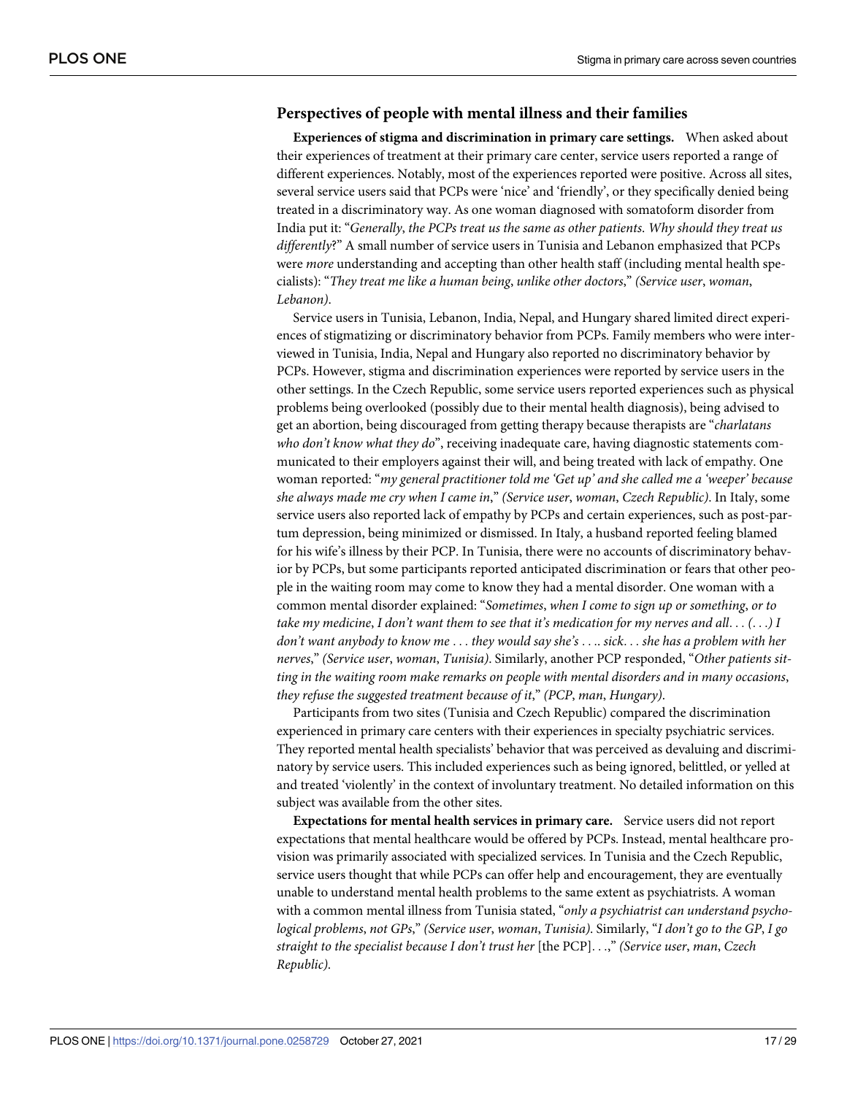## **Perspectives of people with mental illness and their families**

**Experiences of stigma and discrimination in primary care settings.** When asked about their experiences of treatment at their primary care center, service users reported a range of different experiences. Notably, most of the experiences reported were positive. Across all sites, several service users said that PCPs were 'nice' and 'friendly', or they specifically denied being treated in a discriminatory way. As one woman diagnosed with somatoform disorder from India put it: "*Generally*, *the PCPs treat us the same as other patients*. *Why should they treat us differently*?" A small number of service users in Tunisia and Lebanon emphasized that PCPs were *more* understanding and accepting than other health staff (including mental health specialists): "*They treat me like a human being*, *unlike other doctors*," *(Service user*, *woman*, *Lebanon)*.

Service users in Tunisia, Lebanon, India, Nepal, and Hungary shared limited direct experiences of stigmatizing or discriminatory behavior from PCPs. Family members who were interviewed in Tunisia, India, Nepal and Hungary also reported no discriminatory behavior by PCPs. However, stigma and discrimination experiences were reported by service users in the other settings. In the Czech Republic, some service users reported experiences such as physical problems being overlooked (possibly due to their mental health diagnosis), being advised to get an abortion, being discouraged from getting therapy because therapists are "*charlatans who don't know what they do*", receiving inadequate care, having diagnostic statements communicated to their employers against their will, and being treated with lack of empathy. One woman reported: "*my general practitioner told me 'Get up' and she called me a 'weeper' because she always made me cry when I came in*," *(Service user*, *woman*, *Czech Republic)*. In Italy, some service users also reported lack of empathy by PCPs and certain experiences, such as post-partum depression, being minimized or dismissed. In Italy, a husband reported feeling blamed for his wife's illness by their PCP. In Tunisia, there were no accounts of discriminatory behavior by PCPs, but some participants reported anticipated discrimination or fears that other people in the waiting room may come to know they had a mental disorder. One woman with a common mental disorder explained: "*Sometimes*, *when I come to sign up or something*, *or to* take my medicine, I don't want them to see that it's medication for my nerves and all...  $( \ldots )$  I *don't want anybody to know me* . . . *they would say she's* . . .. *sick*. . . *she has a problem with her nerves*," *(Service user*, *woman*, *Tunisia)*. Similarly, another PCP responded, "*Other patients sitting in the waiting room make remarks on people with mental disorders and in many occasions*, *they refuse the suggested treatment because of it*," *(PCP*, *man*, *Hungary)*.

Participants from two sites (Tunisia and Czech Republic) compared the discrimination experienced in primary care centers with their experiences in specialty psychiatric services. They reported mental health specialists' behavior that was perceived as devaluing and discriminatory by service users. This included experiences such as being ignored, belittled, or yelled at and treated 'violently' in the context of involuntary treatment. No detailed information on this subject was available from the other sites.

**Expectations for mental health services in primary care.** Service users did not report expectations that mental healthcare would be offered by PCPs. Instead, mental healthcare provision was primarily associated with specialized services. In Tunisia and the Czech Republic, service users thought that while PCPs can offer help and encouragement, they are eventually unable to understand mental health problems to the same extent as psychiatrists. A woman with a common mental illness from Tunisia stated, "*only a psychiatrist can understand psychological problems*, *not GPs*," *(Service user*, *woman*, *Tunisia)*. Similarly, "*I don't go to the GP*, *I go straight to the specialist because I don't trust her* [the PCP]. . .," *(Service user*, *man*, *Czech Republic)*.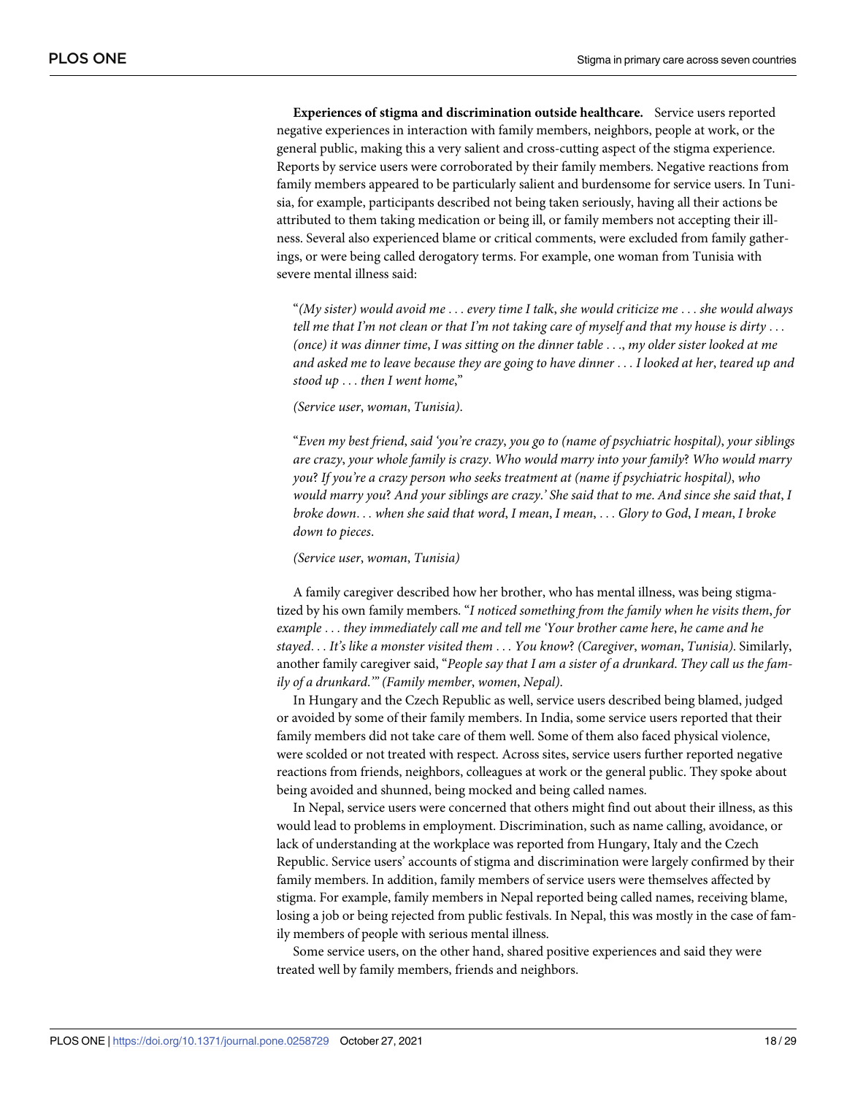**Experiences of stigma and discrimination outside healthcare.** Service users reported negative experiences in interaction with family members, neighbors, people at work, or the general public, making this a very salient and cross-cutting aspect of the stigma experience. Reports by service users were corroborated by their family members. Negative reactions from family members appeared to be particularly salient and burdensome for service users. In Tunisia, for example, participants described not being taken seriously, having all their actions be attributed to them taking medication or being ill, or family members not accepting their illness. Several also experienced blame or critical comments, were excluded from family gatherings, or were being called derogatory terms. For example, one woman from Tunisia with severe mental illness said:

"*(My sister) would avoid me* . . . *every time I talk*, *she would criticize me* . . . *she would always* tell me that I'm not clean or that I'm not taking care of myself and that my house is dirty  $\dots$ *(once) it was dinner time*, *I was sitting on the dinner table* . . ., *my older sister looked at me* and asked me to leave because they are going to have dinner . . . I looked at her, teared up and *stood up* . . . *then I went home*,"

#### *(Service user*, *woman*, *Tunisia)*.

"*Even my best friend*, *said 'you're crazy*, *you go to (name of psychiatric hospital)*, *your siblings are crazy*, *your whole family is crazy*. *Who would marry into your family*? *Who would marry you*? *If you're a crazy person who seeks treatment at (name if psychiatric hospital)*, *who* would marry you? And your siblings are crazy.' She said that to me. And since she said that, I *broke down*. . . *when she said that word*, *I mean*, *I mean*, . . . *Glory to God*, *I mean*, *I broke down to pieces*.

#### *(Service user*, *woman*, *Tunisia)*

A family caregiver described how her brother, who has mental illness, was being stigmatized by his own family members. "*I noticed something from the family when he visits them*, *for example* . . . *they immediately call me and tell me 'Your brother came here*, *he came and he stayed*. . . *It's like a monster visited them* . . . *You know*? *(Caregiver*, *woman*, *Tunisia)*. Similarly, another family caregiver said, "*People say that I am a sister of a drunkard*. *They call us the family of a drunkard*.*'" (Family member*, *women*, *Nepal)*.

In Hungary and the Czech Republic as well, service users described being blamed, judged or avoided by some of their family members. In India, some service users reported that their family members did not take care of them well. Some of them also faced physical violence, were scolded or not treated with respect. Across sites, service users further reported negative reactions from friends, neighbors, colleagues at work or the general public. They spoke about being avoided and shunned, being mocked and being called names.

In Nepal, service users were concerned that others might find out about their illness, as this would lead to problems in employment. Discrimination, such as name calling, avoidance, or lack of understanding at the workplace was reported from Hungary, Italy and the Czech Republic. Service users' accounts of stigma and discrimination were largely confirmed by their family members. In addition, family members of service users were themselves affected by stigma. For example, family members in Nepal reported being called names, receiving blame, losing a job or being rejected from public festivals. In Nepal, this was mostly in the case of family members of people with serious mental illness.

Some service users, on the other hand, shared positive experiences and said they were treated well by family members, friends and neighbors.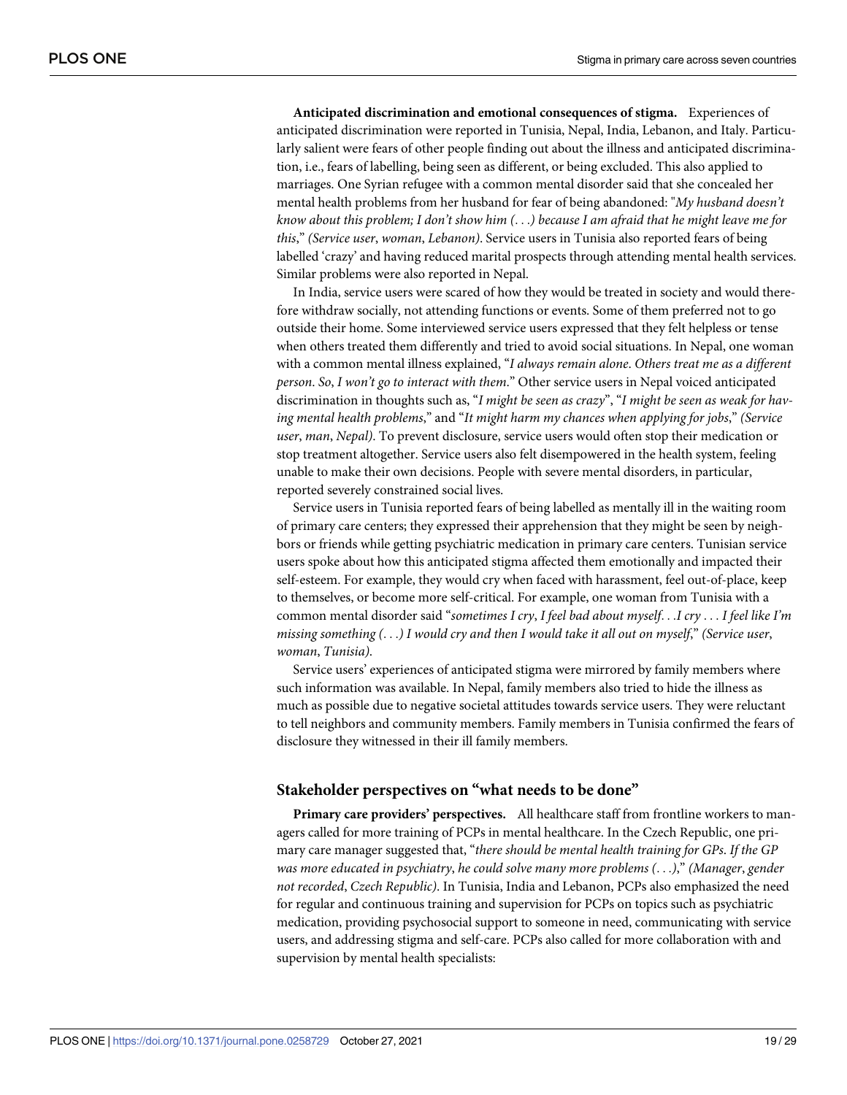**Anticipated discrimination and emotional consequences of stigma.** Experiences of anticipated discrimination were reported in Tunisia, Nepal, India, Lebanon, and Italy. Particularly salient were fears of other people finding out about the illness and anticipated discrimination, i.e., fears of labelling, being seen as different, or being excluded. This also applied to marriages. One Syrian refugee with a common mental disorder said that she concealed her mental health problems from her husband for fear of being abandoned: "*My husband doesn't* know about this problem; I don't show him  $(...)$  because I am afraid that he might leave me for *this*," *(Service user*, *woman*, *Lebanon)*. Service users in Tunisia also reported fears of being labelled 'crazy' and having reduced marital prospects through attending mental health services. Similar problems were also reported in Nepal.

In India, service users were scared of how they would be treated in society and would therefore withdraw socially, not attending functions or events. Some of them preferred not to go outside their home. Some interviewed service users expressed that they felt helpless or tense when others treated them differently and tried to avoid social situations. In Nepal, one woman with a common mental illness explained, "*I always remain alone*. *Others treat me as a different person*. *So*, *I won't go to interact with them*." Other service users in Nepal voiced anticipated discrimination in thoughts such as, "*I might be seen as crazy*", "*I might be seen as weak for having mental health problems*," and "*It might harm my chances when applying for jobs*," *(Service user*, *man*, *Nepal)*. To prevent disclosure, service users would often stop their medication or stop treatment altogether. Service users also felt disempowered in the health system, feeling unable to make their own decisions. People with severe mental disorders, in particular, reported severely constrained social lives.

Service users in Tunisia reported fears of being labelled as mentally ill in the waiting room of primary care centers; they expressed their apprehension that they might be seen by neighbors or friends while getting psychiatric medication in primary care centers. Tunisian service users spoke about how this anticipated stigma affected them emotionally and impacted their self-esteem. For example, they would cry when faced with harassment, feel out-of-place, keep to themselves, or become more self-critical. For example, one woman from Tunisia with a common mental disorder said "*sometimes I cry*, *I feel bad about myself*. . .*I cry* . . . *I feel like I'm* missing something  $( \ldots )$  I would cry and then I would take it all out on myself," (Service user, *woman*, *Tunisia)*.

Service users' experiences of anticipated stigma were mirrored by family members where such information was available. In Nepal, family members also tried to hide the illness as much as possible due to negative societal attitudes towards service users. They were reluctant to tell neighbors and community members. Family members in Tunisia confirmed the fears of disclosure they witnessed in their ill family members.

## **Stakeholder perspectives on "what needs to be done"**

**Primary care providers' perspectives.** All healthcare staff from frontline workers to managers called for more training of PCPs in mental healthcare. In the Czech Republic, one primary care manager suggested that, "*there should be mental health training for GPs*. *If the GP was more educated in psychiatry*, *he could solve many more problems (*. . .*)*," *(Manager*, *gender not recorded*, *Czech Republic)*. In Tunisia, India and Lebanon, PCPs also emphasized the need for regular and continuous training and supervision for PCPs on topics such as psychiatric medication, providing psychosocial support to someone in need, communicating with service users, and addressing stigma and self-care. PCPs also called for more collaboration with and supervision by mental health specialists: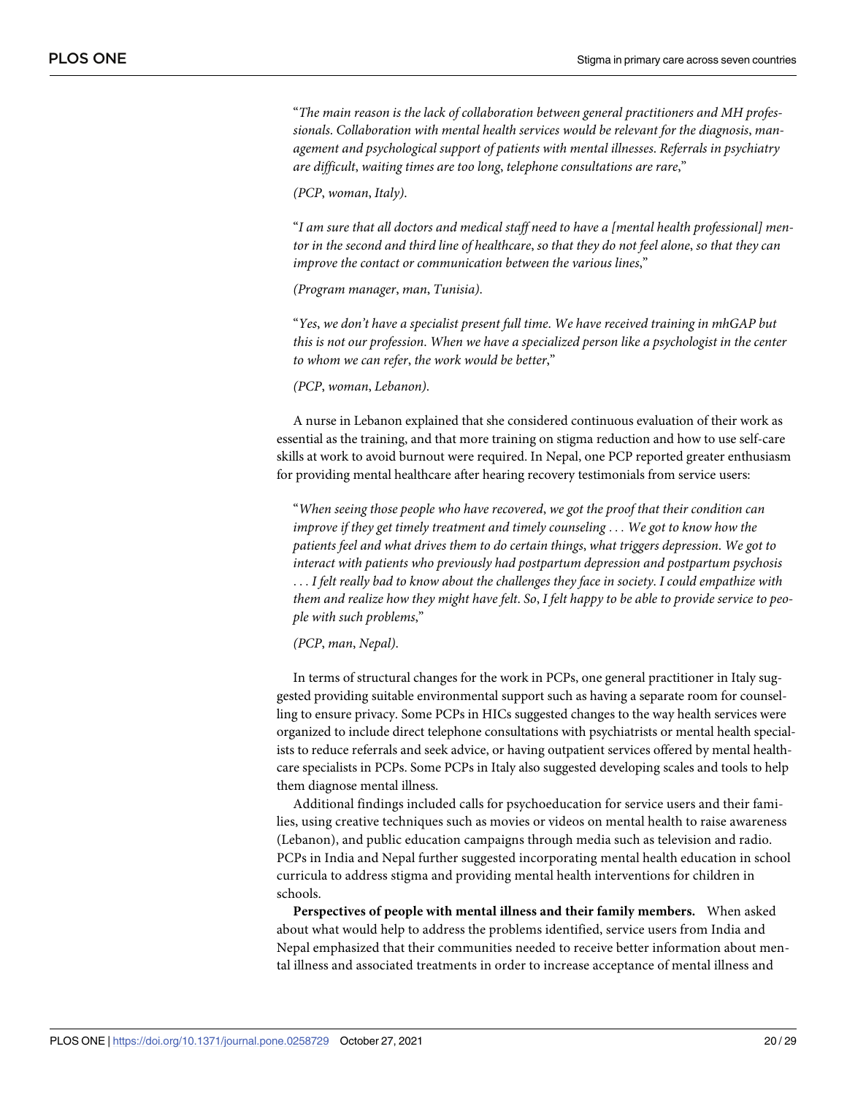"*The main reason is the lack of collaboration between general practitioners and MH professionals*. *Collaboration with mental health services would be relevant for the diagnosis*, *management and psychological support of patients with mental illnesses*. *Referrals in psychiatry are difficult*, *waiting times are too long*, *telephone consultations are rare*,"

*(PCP*, *woman*, *Italy)*.

"*I am sure that all doctors and medical staff need to have a [mental health professional] men*tor in the second and third line of healthcare, so that they do not feel alone, so that they can *improve the contact or communication between the various lines*,"

*(Program manager*, *man*, *Tunisia)*.

"*Yes*, *we don't have a specialist present full time*. *We have received training in mhGAP but this is not our profession*. *When we have a specialized person like a psychologist in the center to whom we can refer*, *the work would be better*,"

*(PCP*, *woman*, *Lebanon)*.

A nurse in Lebanon explained that she considered continuous evaluation of their work as essential as the training, and that more training on stigma reduction and how to use self-care skills at work to avoid burnout were required. In Nepal, one PCP reported greater enthusiasm for providing mental healthcare after hearing recovery testimonials from service users:

"*When seeing those people who have recovered*, *we got the proof that their condition can improve if they get timely treatment and timely counseling* . . . *We got to know how the patients feel and what drives them to do certain things*, *what triggers depression*. *We got to interact with patients who previously had postpartum depression and postpartum psychosis* . . . *I felt really bad to know about the challenges they face in society*. *I could empathize with* them and realize how they might have felt. So, I felt happy to be able to provide service to peo*ple with such problems*,"

#### *(PCP*, *man*, *Nepal)*.

In terms of structural changes for the work in PCPs, one general practitioner in Italy suggested providing suitable environmental support such as having a separate room for counselling to ensure privacy. Some PCPs in HICs suggested changes to the way health services were organized to include direct telephone consultations with psychiatrists or mental health specialists to reduce referrals and seek advice, or having outpatient services offered by mental healthcare specialists in PCPs. Some PCPs in Italy also suggested developing scales and tools to help them diagnose mental illness.

Additional findings included calls for psychoeducation for service users and their families, using creative techniques such as movies or videos on mental health to raise awareness (Lebanon), and public education campaigns through media such as television and radio. PCPs in India and Nepal further suggested incorporating mental health education in school curricula to address stigma and providing mental health interventions for children in schools.

**Perspectives of people with mental illness and their family members.** When asked about what would help to address the problems identified, service users from India and Nepal emphasized that their communities needed to receive better information about mental illness and associated treatments in order to increase acceptance of mental illness and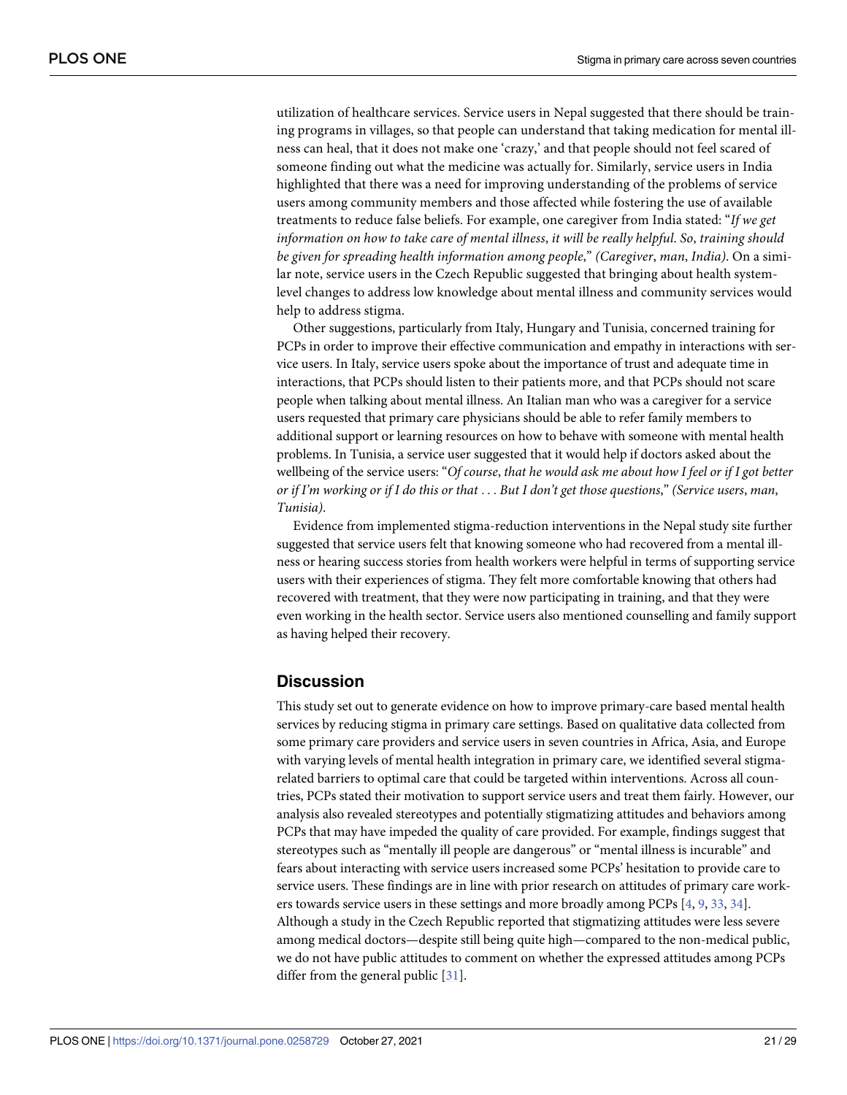<span id="page-20-0"></span>utilization of healthcare services. Service users in Nepal suggested that there should be training programs in villages, so that people can understand that taking medication for mental illness can heal, that it does not make one 'crazy,' and that people should not feel scared of someone finding out what the medicine was actually for. Similarly, service users in India highlighted that there was a need for improving understanding of the problems of service users among community members and those affected while fostering the use of available treatments to reduce false beliefs. For example, one caregiver from India stated: "*If we get information on how to take care of mental illness*, *it will be really helpful*. *So*, *training should be given for spreading health information among people*," *(Caregiver*, *man*, *India)*. On a similar note, service users in the Czech Republic suggested that bringing about health systemlevel changes to address low knowledge about mental illness and community services would help to address stigma.

Other suggestions, particularly from Italy, Hungary and Tunisia, concerned training for PCPs in order to improve their effective communication and empathy in interactions with service users. In Italy, service users spoke about the importance of trust and adequate time in interactions, that PCPs should listen to their patients more, and that PCPs should not scare people when talking about mental illness. An Italian man who was a caregiver for a service users requested that primary care physicians should be able to refer family members to additional support or learning resources on how to behave with someone with mental health problems. In Tunisia, a service user suggested that it would help if doctors asked about the wellbeing of the service users: "*Of course*, *that he would ask me about how I feel or if I got better* or if I'm working or if I do this or that . . . But I don't get those questions," (Service users, man, *Tunisia)*.

Evidence from implemented stigma-reduction interventions in the Nepal study site further suggested that service users felt that knowing someone who had recovered from a mental illness or hearing success stories from health workers were helpful in terms of supporting service users with their experiences of stigma. They felt more comfortable knowing that others had recovered with treatment, that they were now participating in training, and that they were even working in the health sector. Service users also mentioned counselling and family support as having helped their recovery.

## **Discussion**

This study set out to generate evidence on how to improve primary-care based mental health services by reducing stigma in primary care settings. Based on qualitative data collected from some primary care providers and service users in seven countries in Africa, Asia, and Europe with varying levels of mental health integration in primary care, we identified several stigmarelated barriers to optimal care that could be targeted within interventions. Across all countries, PCPs stated their motivation to support service users and treat them fairly. However, our analysis also revealed stereotypes and potentially stigmatizing attitudes and behaviors among PCPs that may have impeded the quality of care provided. For example, findings suggest that stereotypes such as "mentally ill people are dangerous" or "mental illness is incurable" and fears about interacting with service users increased some PCPs' hesitation to provide care to service users. These findings are in line with prior research on attitudes of primary care work-ers towards service users in these settings and more broadly among PCPs [[4](#page-26-0), [9,](#page-26-0) [33,](#page-28-0) [34](#page-28-0)]. Although a study in the Czech Republic reported that stigmatizing attitudes were less severe among medical doctors—despite still being quite high—compared to the non-medical public, we do not have public attitudes to comment on whether the expressed attitudes among PCPs differ from the general public [\[31\]](#page-28-0).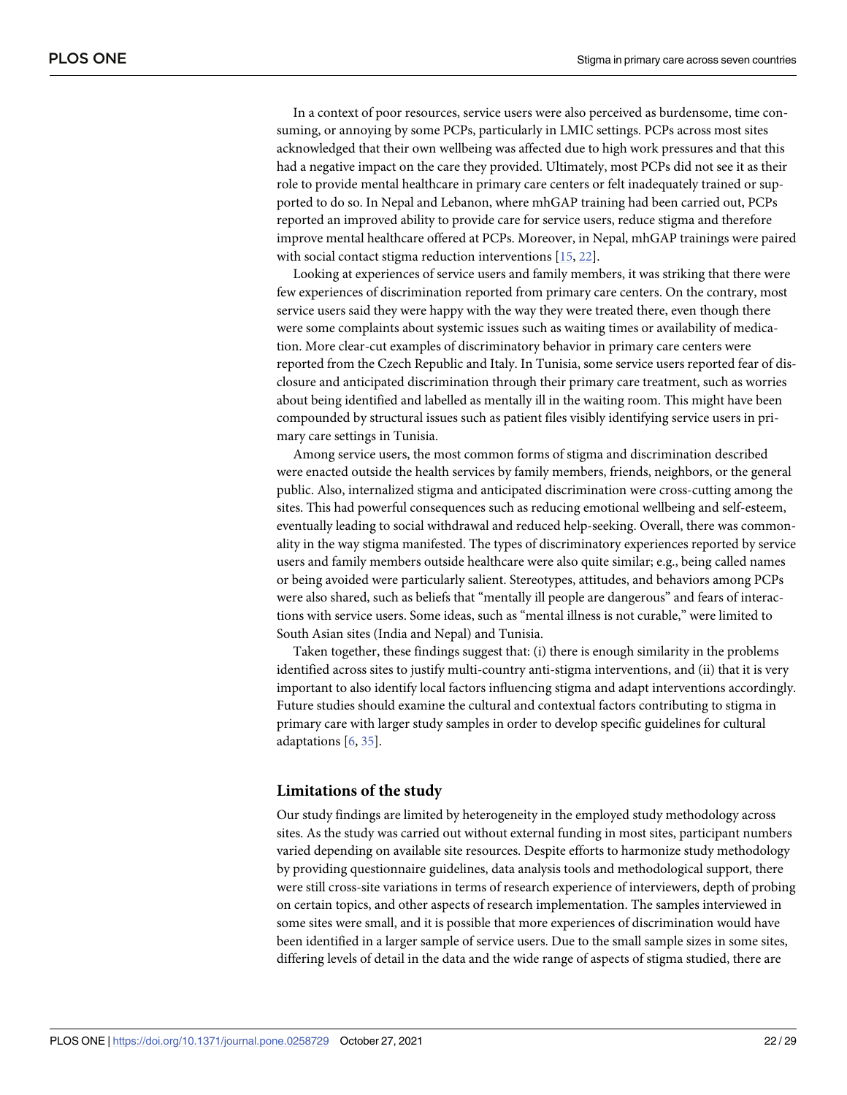<span id="page-21-0"></span>In a context of poor resources, service users were also perceived as burdensome, time consuming, or annoying by some PCPs, particularly in LMIC settings. PCPs across most sites acknowledged that their own wellbeing was affected due to high work pressures and that this had a negative impact on the care they provided. Ultimately, most PCPs did not see it as their role to provide mental healthcare in primary care centers or felt inadequately trained or supported to do so. In Nepal and Lebanon, where mhGAP training had been carried out, PCPs reported an improved ability to provide care for service users, reduce stigma and therefore improve mental healthcare offered at PCPs. Moreover, in Nepal, mhGAP trainings were paired with social contact stigma reduction interventions [[15](#page-27-0), [22](#page-27-0)].

Looking at experiences of service users and family members, it was striking that there were few experiences of discrimination reported from primary care centers. On the contrary, most service users said they were happy with the way they were treated there, even though there were some complaints about systemic issues such as waiting times or availability of medication. More clear-cut examples of discriminatory behavior in primary care centers were reported from the Czech Republic and Italy. In Tunisia, some service users reported fear of disclosure and anticipated discrimination through their primary care treatment, such as worries about being identified and labelled as mentally ill in the waiting room. This might have been compounded by structural issues such as patient files visibly identifying service users in primary care settings in Tunisia.

Among service users, the most common forms of stigma and discrimination described were enacted outside the health services by family members, friends, neighbors, or the general public. Also, internalized stigma and anticipated discrimination were cross-cutting among the sites. This had powerful consequences such as reducing emotional wellbeing and self-esteem, eventually leading to social withdrawal and reduced help-seeking. Overall, there was commonality in the way stigma manifested. The types of discriminatory experiences reported by service users and family members outside healthcare were also quite similar; e.g., being called names or being avoided were particularly salient. Stereotypes, attitudes, and behaviors among PCPs were also shared, such as beliefs that "mentally ill people are dangerous" and fears of interactions with service users. Some ideas, such as "mental illness is not curable," were limited to South Asian sites (India and Nepal) and Tunisia.

Taken together, these findings suggest that: (i) there is enough similarity in the problems identified across sites to justify multi-country anti-stigma interventions, and (ii) that it is very important to also identify local factors influencing stigma and adapt interventions accordingly. Future studies should examine the cultural and contextual factors contributing to stigma in primary care with larger study samples in order to develop specific guidelines for cultural adaptations [[6,](#page-26-0) [35\]](#page-28-0).

### **Limitations of the study**

Our study findings are limited by heterogeneity in the employed study methodology across sites. As the study was carried out without external funding in most sites, participant numbers varied depending on available site resources. Despite efforts to harmonize study methodology by providing questionnaire guidelines, data analysis tools and methodological support, there were still cross-site variations in terms of research experience of interviewers, depth of probing on certain topics, and other aspects of research implementation. The samples interviewed in some sites were small, and it is possible that more experiences of discrimination would have been identified in a larger sample of service users. Due to the small sample sizes in some sites, differing levels of detail in the data and the wide range of aspects of stigma studied, there are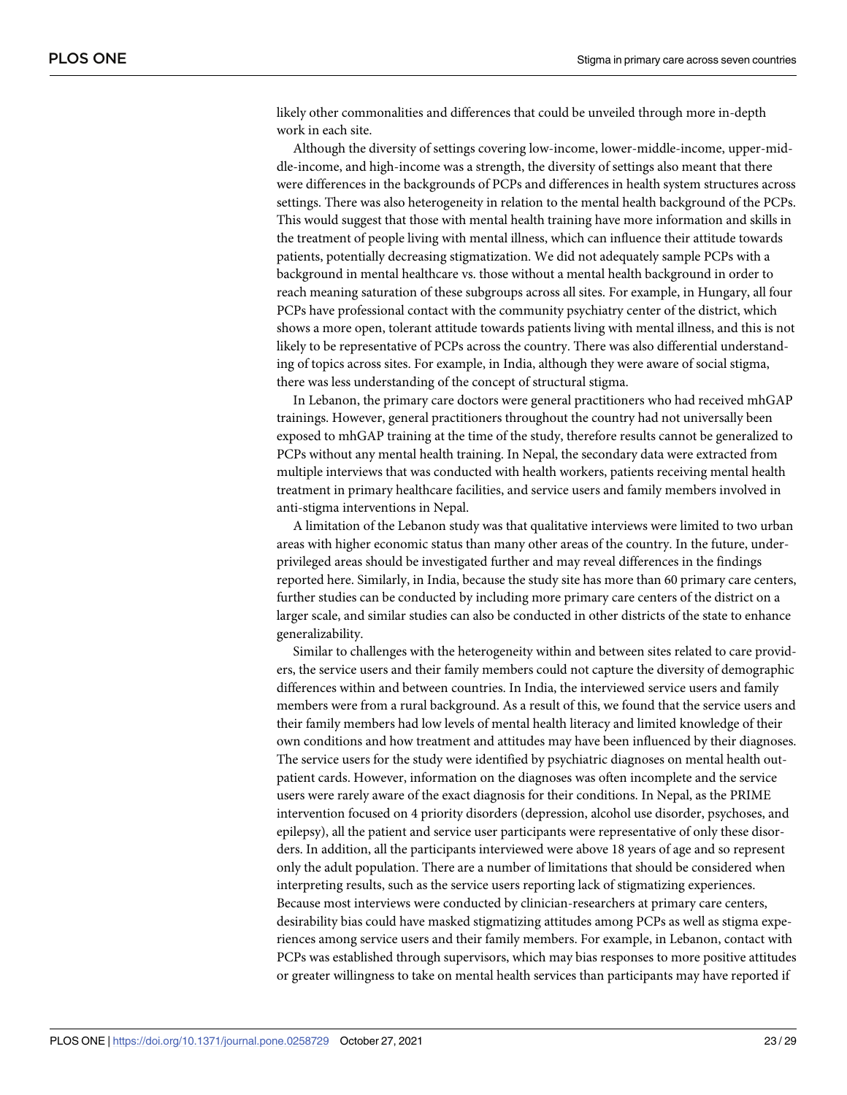likely other commonalities and differences that could be unveiled through more in-depth work in each site.

Although the diversity of settings covering low-income, lower-middle-income, upper-middle-income, and high-income was a strength, the diversity of settings also meant that there were differences in the backgrounds of PCPs and differences in health system structures across settings. There was also heterogeneity in relation to the mental health background of the PCPs. This would suggest that those with mental health training have more information and skills in the treatment of people living with mental illness, which can influence their attitude towards patients, potentially decreasing stigmatization. We did not adequately sample PCPs with a background in mental healthcare vs. those without a mental health background in order to reach meaning saturation of these subgroups across all sites. For example, in Hungary, all four PCPs have professional contact with the community psychiatry center of the district, which shows a more open, tolerant attitude towards patients living with mental illness, and this is not likely to be representative of PCPs across the country. There was also differential understanding of topics across sites. For example, in India, although they were aware of social stigma, there was less understanding of the concept of structural stigma.

In Lebanon, the primary care doctors were general practitioners who had received mhGAP trainings. However, general practitioners throughout the country had not universally been exposed to mhGAP training at the time of the study, therefore results cannot be generalized to PCPs without any mental health training. In Nepal, the secondary data were extracted from multiple interviews that was conducted with health workers, patients receiving mental health treatment in primary healthcare facilities, and service users and family members involved in anti-stigma interventions in Nepal.

A limitation of the Lebanon study was that qualitative interviews were limited to two urban areas with higher economic status than many other areas of the country. In the future, underprivileged areas should be investigated further and may reveal differences in the findings reported here. Similarly, in India, because the study site has more than 60 primary care centers, further studies can be conducted by including more primary care centers of the district on a larger scale, and similar studies can also be conducted in other districts of the state to enhance generalizability.

Similar to challenges with the heterogeneity within and between sites related to care providers, the service users and their family members could not capture the diversity of demographic differences within and between countries. In India, the interviewed service users and family members were from a rural background. As a result of this, we found that the service users and their family members had low levels of mental health literacy and limited knowledge of their own conditions and how treatment and attitudes may have been influenced by their diagnoses. The service users for the study were identified by psychiatric diagnoses on mental health outpatient cards. However, information on the diagnoses was often incomplete and the service users were rarely aware of the exact diagnosis for their conditions. In Nepal, as the PRIME intervention focused on 4 priority disorders (depression, alcohol use disorder, psychoses, and epilepsy), all the patient and service user participants were representative of only these disorders. In addition, all the participants interviewed were above 18 years of age and so represent only the adult population. There are a number of limitations that should be considered when interpreting results, such as the service users reporting lack of stigmatizing experiences. Because most interviews were conducted by clinician-researchers at primary care centers, desirability bias could have masked stigmatizing attitudes among PCPs as well as stigma experiences among service users and their family members. For example, in Lebanon, contact with PCPs was established through supervisors, which may bias responses to more positive attitudes or greater willingness to take on mental health services than participants may have reported if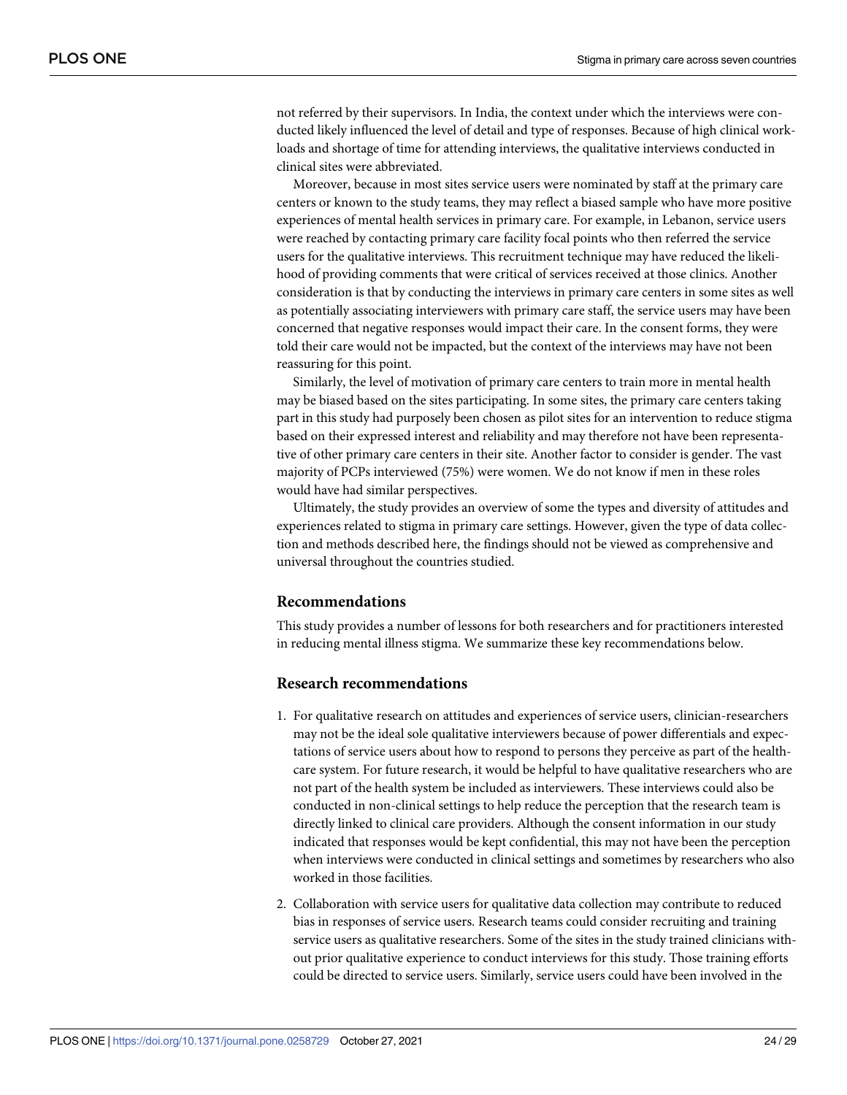not referred by their supervisors. In India, the context under which the interviews were conducted likely influenced the level of detail and type of responses. Because of high clinical workloads and shortage of time for attending interviews, the qualitative interviews conducted in clinical sites were abbreviated.

Moreover, because in most sites service users were nominated by staff at the primary care centers or known to the study teams, they may reflect a biased sample who have more positive experiences of mental health services in primary care. For example, in Lebanon, service users were reached by contacting primary care facility focal points who then referred the service users for the qualitative interviews. This recruitment technique may have reduced the likelihood of providing comments that were critical of services received at those clinics. Another consideration is that by conducting the interviews in primary care centers in some sites as well as potentially associating interviewers with primary care staff, the service users may have been concerned that negative responses would impact their care. In the consent forms, they were told their care would not be impacted, but the context of the interviews may have not been reassuring for this point.

Similarly, the level of motivation of primary care centers to train more in mental health may be biased based on the sites participating. In some sites, the primary care centers taking part in this study had purposely been chosen as pilot sites for an intervention to reduce stigma based on their expressed interest and reliability and may therefore not have been representative of other primary care centers in their site. Another factor to consider is gender. The vast majority of PCPs interviewed (75%) were women. We do not know if men in these roles would have had similar perspectives.

Ultimately, the study provides an overview of some the types and diversity of attitudes and experiences related to stigma in primary care settings. However, given the type of data collection and methods described here, the findings should not be viewed as comprehensive and universal throughout the countries studied.

#### **Recommendations**

This study provides a number of lessons for both researchers and for practitioners interested in reducing mental illness stigma. We summarize these key recommendations below.

## **Research recommendations**

- 1. For qualitative research on attitudes and experiences of service users, clinician-researchers may not be the ideal sole qualitative interviewers because of power differentials and expectations of service users about how to respond to persons they perceive as part of the healthcare system. For future research, it would be helpful to have qualitative researchers who are not part of the health system be included as interviewers. These interviews could also be conducted in non-clinical settings to help reduce the perception that the research team is directly linked to clinical care providers. Although the consent information in our study indicated that responses would be kept confidential, this may not have been the perception when interviews were conducted in clinical settings and sometimes by researchers who also worked in those facilities.
- 2. Collaboration with service users for qualitative data collection may contribute to reduced bias in responses of service users. Research teams could consider recruiting and training service users as qualitative researchers. Some of the sites in the study trained clinicians without prior qualitative experience to conduct interviews for this study. Those training efforts could be directed to service users. Similarly, service users could have been involved in the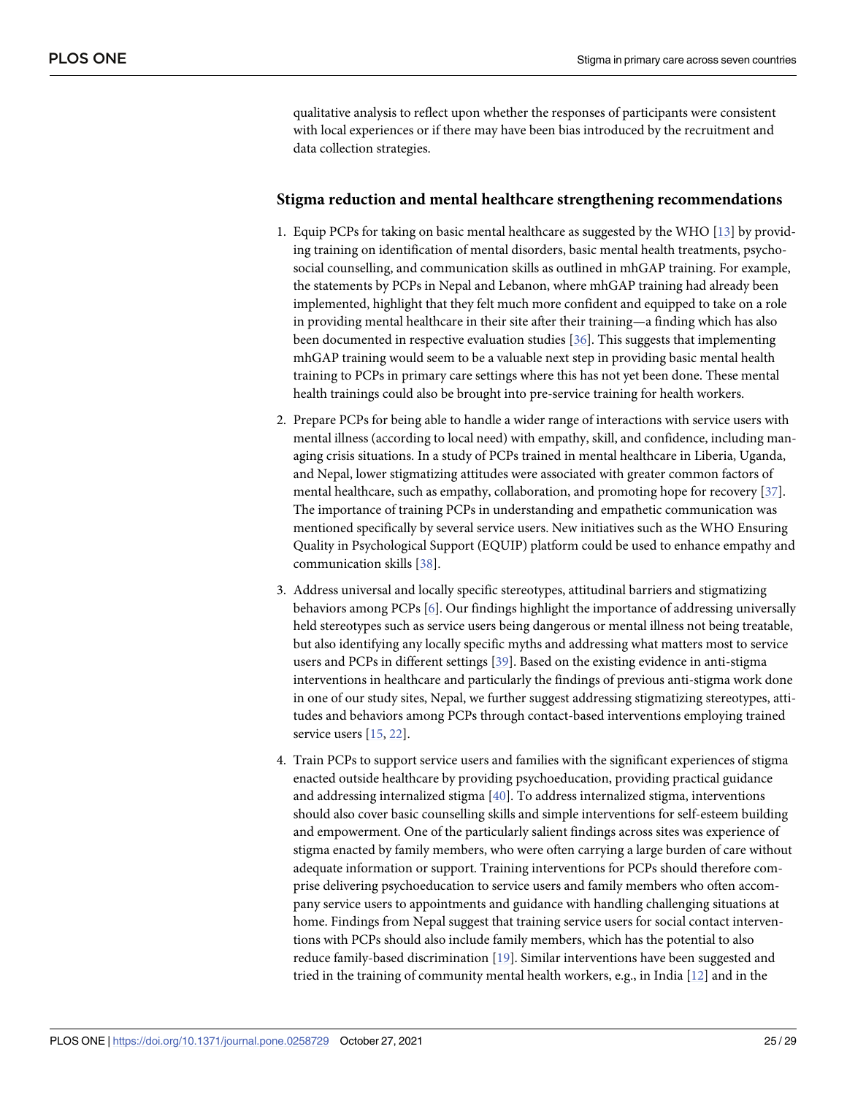<span id="page-24-0"></span>qualitative analysis to reflect upon whether the responses of participants were consistent with local experiences or if there may have been bias introduced by the recruitment and data collection strategies.

#### **Stigma reduction and mental healthcare strengthening recommendations**

- 1. Equip PCPs for taking on basic mental healthcare as suggested by the WHO [[13](#page-27-0)] by providing training on identification of mental disorders, basic mental health treatments, psychosocial counselling, and communication skills as outlined in mhGAP training. For example, the statements by PCPs in Nepal and Lebanon, where mhGAP training had already been implemented, highlight that they felt much more confident and equipped to take on a role in providing mental healthcare in their site after their training—a finding which has also been documented in respective evaluation studies [[36](#page-28-0)]. This suggests that implementing mhGAP training would seem to be a valuable next step in providing basic mental health training to PCPs in primary care settings where this has not yet been done. These mental health trainings could also be brought into pre-service training for health workers.
- 2. Prepare PCPs for being able to handle a wider range of interactions with service users with mental illness (according to local need) with empathy, skill, and confidence, including managing crisis situations. In a study of PCPs trained in mental healthcare in Liberia, Uganda, and Nepal, lower stigmatizing attitudes were associated with greater common factors of mental healthcare, such as empathy, collaboration, and promoting hope for recovery [\[37\]](#page-28-0). The importance of training PCPs in understanding and empathetic communication was mentioned specifically by several service users. New initiatives such as the WHO Ensuring Quality in Psychological Support (EQUIP) platform could be used to enhance empathy and communication skills [[38](#page-28-0)].
- 3. Address universal and locally specific stereotypes, attitudinal barriers and stigmatizing behaviors among PCPs [[6](#page-26-0)]. Our findings highlight the importance of addressing universally held stereotypes such as service users being dangerous or mental illness not being treatable, but also identifying any locally specific myths and addressing what matters most to service users and PCPs in different settings [\[39\]](#page-28-0). Based on the existing evidence in anti-stigma interventions in healthcare and particularly the findings of previous anti-stigma work done in one of our study sites, Nepal, we further suggest addressing stigmatizing stereotypes, attitudes and behaviors among PCPs through contact-based interventions employing trained service users [\[15,](#page-27-0) [22\]](#page-27-0).
- 4. Train PCPs to support service users and families with the significant experiences of stigma enacted outside healthcare by providing psychoeducation, providing practical guidance and addressing internalized stigma [\[40\]](#page-28-0). To address internalized stigma, interventions should also cover basic counselling skills and simple interventions for self-esteem building and empowerment. One of the particularly salient findings across sites was experience of stigma enacted by family members, who were often carrying a large burden of care without adequate information or support. Training interventions for PCPs should therefore comprise delivering psychoeducation to service users and family members who often accompany service users to appointments and guidance with handling challenging situations at home. Findings from Nepal suggest that training service users for social contact interventions with PCPs should also include family members, which has the potential to also reduce family-based discrimination [\[19\]](#page-27-0). Similar interventions have been suggested and tried in the training of community mental health workers, e.g., in India  $[12]$  $[12]$  $[12]$  and in the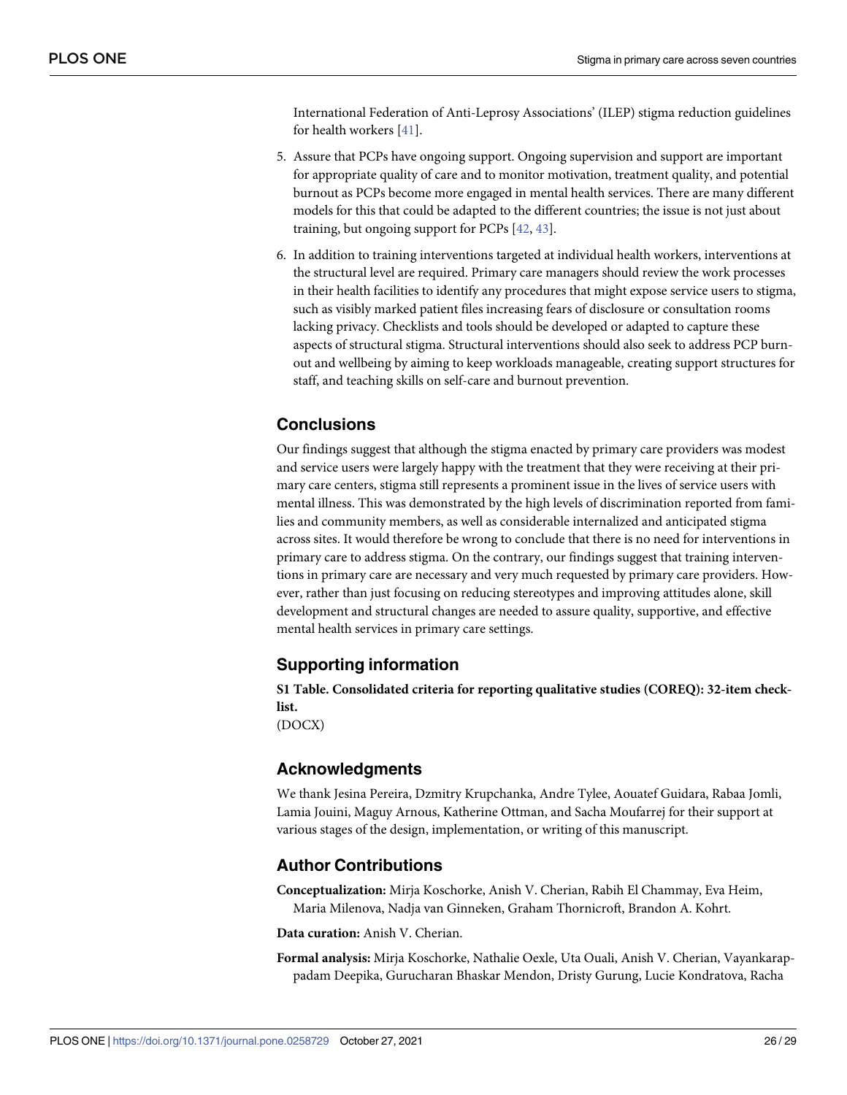<span id="page-25-0"></span>International Federation of Anti-Leprosy Associations' (ILEP) stigma reduction guidelines for health workers [\[41\]](#page-28-0).

- 5. Assure that PCPs have ongoing support. Ongoing supervision and support are important for appropriate quality of care and to monitor motivation, treatment quality, and potential burnout as PCPs become more engaged in mental health services. There are many different models for this that could be adapted to the different countries; the issue is not just about training, but ongoing support for PCPs  $[42, 43]$  $[42, 43]$  $[42, 43]$ .
- 6. In addition to training interventions targeted at individual health workers, interventions at the structural level are required. Primary care managers should review the work processes in their health facilities to identify any procedures that might expose service users to stigma, such as visibly marked patient files increasing fears of disclosure or consultation rooms lacking privacy. Checklists and tools should be developed or adapted to capture these aspects of structural stigma. Structural interventions should also seek to address PCP burnout and wellbeing by aiming to keep workloads manageable, creating support structures for staff, and teaching skills on self-care and burnout prevention.

# **Conclusions**

Our findings suggest that although the stigma enacted by primary care providers was modest and service users were largely happy with the treatment that they were receiving at their primary care centers, stigma still represents a prominent issue in the lives of service users with mental illness. This was demonstrated by the high levels of discrimination reported from families and community members, as well as considerable internalized and anticipated stigma across sites. It would therefore be wrong to conclude that there is no need for interventions in primary care to address stigma. On the contrary, our findings suggest that training interventions in primary care are necessary and very much requested by primary care providers. However, rather than just focusing on reducing stereotypes and improving attitudes alone, skill development and structural changes are needed to assure quality, supportive, and effective mental health services in primary care settings.

# **Supporting information**

**S1 [Table.](http://www.plosone.org/article/fetchSingleRepresentation.action?uri=info:doi/10.1371/journal.pone.0258729.s001) Consolidated criteria for reporting qualitative studies (COREQ): 32-item checklist.**

(DOCX)

# **Acknowledgments**

We thank Jesina Pereira, Dzmitry Krupchanka, Andre Tylee, Aouatef Guidara, Rabaa Jomli, Lamia Jouini, Maguy Arnous, Katherine Ottman, and Sacha Moufarrej for their support at various stages of the design, implementation, or writing of this manuscript.

# **Author Contributions**

**Conceptualization:** Mirja Koschorke, Anish V. Cherian, Rabih El Chammay, Eva Heim, Maria Milenova, Nadja van Ginneken, Graham Thornicroft, Brandon A. Kohrt.

**Data curation:** Anish V. Cherian.

**Formal analysis:** Mirja Koschorke, Nathalie Oexle, Uta Ouali, Anish V. Cherian, Vayankarappadam Deepika, Gurucharan Bhaskar Mendon, Dristy Gurung, Lucie Kondratova, Racha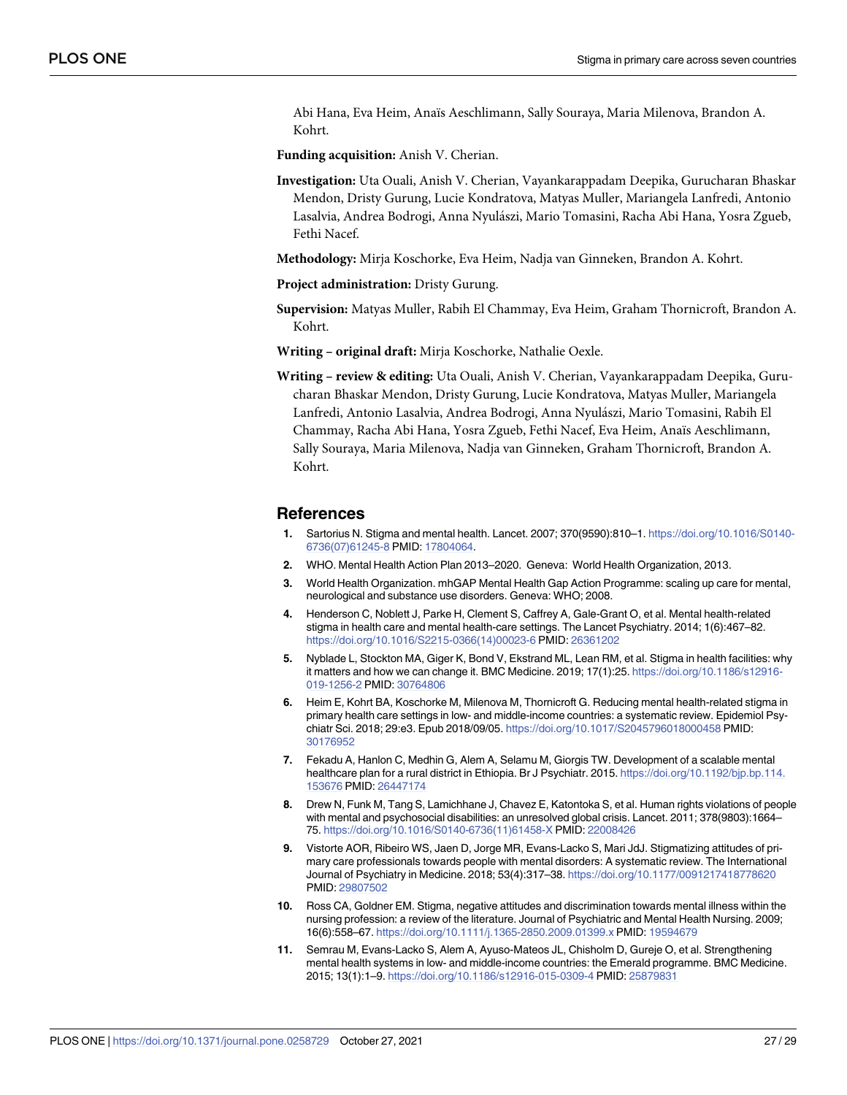<span id="page-26-0"></span>Abi Hana, Eva Heim, Anaïs Aeschlimann, Sally Souraya, Maria Milenova, Brandon A. Kohrt.

**Funding acquisition:** Anish V. Cherian.

**Investigation:** Uta Ouali, Anish V. Cherian, Vayankarappadam Deepika, Gurucharan Bhaskar Mendon, Dristy Gurung, Lucie Kondratova, Matyas Muller, Mariangela Lanfredi, Antonio Lasalvia, Andrea Bodrogi, Anna Nyulászi, Mario Tomasini, Racha Abi Hana, Yosra Zgueb, Fethi Nacef.

**Methodology:** Mirja Koschorke, Eva Heim, Nadja van Ginneken, Brandon A. Kohrt.

**Project administration:** Dristy Gurung.

**Supervision:** Matyas Muller, Rabih El Chammay, Eva Heim, Graham Thornicroft, Brandon A. Kohrt.

**Writing – original draft:** Mirja Koschorke, Nathalie Oexle.

**Writing – review & editing:** Uta Ouali, Anish V. Cherian, Vayankarappadam Deepika, Gurucharan Bhaskar Mendon, Dristy Gurung, Lucie Kondratova, Matyas Muller, Mariangela Lanfredi, Antonio Lasalvia, Andrea Bodrogi, Anna Nyula´szi, Mario Tomasini, Rabih El Chammay, Racha Abi Hana, Yosra Zgueb, Fethi Nacef, Eva Heim, Anaïs Aeschlimann, Sally Souraya, Maria Milenova, Nadja van Ginneken, Graham Thornicroft, Brandon A. Kohrt.

#### **References**

- **[1](#page-1-0).** Sartorius N. Stigma and mental health. Lancet. 2007; 370(9590):810–1. [https://doi.org/10.1016/S0140-](https://doi.org/10.1016/S0140-6736%2807%2961245-8) [6736\(07\)61245-8](https://doi.org/10.1016/S0140-6736%2807%2961245-8) PMID: [17804064](http://www.ncbi.nlm.nih.gov/pubmed/17804064).
- **[2](#page-1-0).** WHO. Mental Health Action Plan 2013–2020. Geneva: World Health Organization, 2013.
- **[3](#page-1-0).** World Health Organization. mhGAP Mental Health Gap Action Programme: scaling up care for mental, neurological and substance use disorders. Geneva: WHO; 2008.
- **[4](#page-2-0).** Henderson C, Noblett J, Parke H, Clement S, Caffrey A, Gale-Grant O, et al. Mental health-related stigma in health care and mental health-care settings. The Lancet Psychiatry. 2014; 1(6):467–82. [https://doi.org/10.1016/S2215-0366\(14\)00023-6](https://doi.org/10.1016/S2215-0366%2814%2900023-6) PMID: [26361202](http://www.ncbi.nlm.nih.gov/pubmed/26361202)
- **5.** Nyblade L, Stockton MA, Giger K, Bond V, Ekstrand ML, Lean RM, et al. Stigma in health facilities: why it matters and how we can change it. BMC Medicine. 2019; 17(1):25. [https://doi.org/10.1186/s12916-](https://doi.org/10.1186/s12916-019-1256-2) [019-1256-2](https://doi.org/10.1186/s12916-019-1256-2) PMID: [30764806](http://www.ncbi.nlm.nih.gov/pubmed/30764806)
- **[6](#page-2-0).** Heim E, Kohrt BA, Koschorke M, Milenova M, Thornicroft G. Reducing mental health-related stigma in primary health care settings in low- and middle-income countries: a systematic review. Epidemiol Psychiatr Sci. 2018; 29:e3. Epub 2018/09/05. <https://doi.org/10.1017/S2045796018000458> PMID: [30176952](http://www.ncbi.nlm.nih.gov/pubmed/30176952)
- **[7](#page-2-0).** Fekadu A, Hanlon C, Medhin G, Alem A, Selamu M, Giorgis TW. Development of a scalable mental healthcare plan for a rural district in Ethiopia. Br J Psychiatr. 2015. [https://doi.org/10.1192/bjp.bp.114.](https://doi.org/10.1192/bjp.bp.114.153676) [153676](https://doi.org/10.1192/bjp.bp.114.153676) PMID: [26447174](http://www.ncbi.nlm.nih.gov/pubmed/26447174)
- **[8](#page-2-0).** Drew N, Funk M, Tang S, Lamichhane J, Chavez E, Katontoka S, et al. Human rights violations of people with mental and psychosocial disabilities: an unresolved global crisis. Lancet. 2011; 378(9803):1664-75. [https://doi.org/10.1016/S0140-6736\(11\)61458-X](https://doi.org/10.1016/S0140-6736%2811%2961458-X) PMID: [22008426](http://www.ncbi.nlm.nih.gov/pubmed/22008426)
- **[9](#page-2-0).** Vistorte AOR, Ribeiro WS, Jaen D, Jorge MR, Evans-Lacko S, Mari JdJ. Stigmatizing attitudes of primary care professionals towards people with mental disorders: A systematic review. The International Journal of Psychiatry in Medicine. 2018; 53(4):317–38. <https://doi.org/10.1177/0091217418778620> PMID: [29807502](http://www.ncbi.nlm.nih.gov/pubmed/29807502)
- **[10](#page-2-0).** Ross CA, Goldner EM. Stigma, negative attitudes and discrimination towards mental illness within the nursing profession: a review of the literature. Journal of Psychiatric and Mental Health Nursing. 2009; 16(6):558–67. <https://doi.org/10.1111/j.1365-2850.2009.01399.x> PMID: [19594679](http://www.ncbi.nlm.nih.gov/pubmed/19594679)
- **[11](#page-2-0).** Semrau M, Evans-Lacko S, Alem A, Ayuso-Mateos JL, Chisholm D, Gureje O, et al. Strengthening mental health systems in low- and middle-income countries: the Emerald programme. BMC Medicine. 2015; 13(1):1–9. <https://doi.org/10.1186/s12916-015-0309-4> PMID: [25879831](http://www.ncbi.nlm.nih.gov/pubmed/25879831)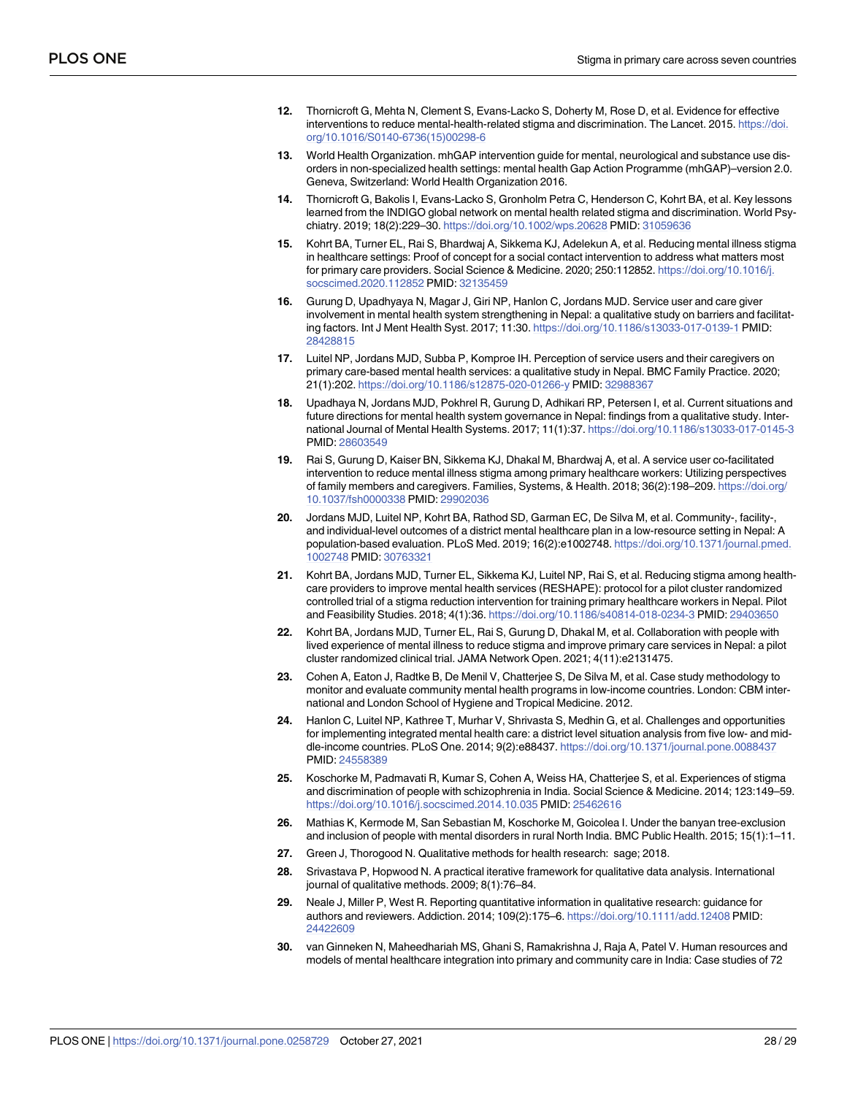- <span id="page-27-0"></span>**[12](#page-2-0).** Thornicroft G, Mehta N, Clement S, Evans-Lacko S, Doherty M, Rose D, et al. Evidence for effective interventions to reduce mental-health-related stigma and discrimination. The Lancet. 2015. [https://doi.](https://doi.org/10.1016/S0140-6736%2815%2900298-6) [org/10.1016/S0140-6736\(15\)00298-6](https://doi.org/10.1016/S0140-6736%2815%2900298-6)
- **[13](#page-2-0).** World Health Organization. mhGAP intervention guide for mental, neurological and substance use disorders in non-specialized health settings: mental health Gap Action Programme (mhGAP)–version 2.0. Geneva, Switzerland: World Health Organization 2016.
- **[14](#page-2-0).** Thornicroft G, Bakolis I, Evans-Lacko S, Gronholm Petra C, Henderson C, Kohrt BA, et al. Key lessons learned from the INDIGO global network on mental health related stigma and discrimination. World Psychiatry. 2019; 18(2):229–30. <https://doi.org/10.1002/wps.20628> PMID: [31059636](http://www.ncbi.nlm.nih.gov/pubmed/31059636)
- **[15](#page-3-0).** Kohrt BA, Turner EL, Rai S, Bhardwaj A, Sikkema KJ, Adelekun A, et al. Reducing mental illness stigma in healthcare settings: Proof of concept for a social contact intervention to address what matters most for primary care providers. Social Science & Medicine. 2020; 250:112852. [https://doi.org/10.1016/j.](https://doi.org/10.1016/j.socscimed.2020.112852) [socscimed.2020.112852](https://doi.org/10.1016/j.socscimed.2020.112852) PMID: [32135459](http://www.ncbi.nlm.nih.gov/pubmed/32135459)
- **[16](#page-12-0).** Gurung D, Upadhyaya N, Magar J, Giri NP, Hanlon C, Jordans MJD. Service user and care giver involvement in mental health system strengthening in Nepal: a qualitative study on barriers and facilitating factors. Int J Ment Health Syst. 2017; 11:30. <https://doi.org/10.1186/s13033-017-0139-1> PMID: [28428815](http://www.ncbi.nlm.nih.gov/pubmed/28428815)
- **[17](#page-12-0).** Luitel NP, Jordans MJD, Subba P, Komproe IH. Perception of service users and their caregivers on primary care-based mental health services: a qualitative study in Nepal. BMC Family Practice. 2020; 21(1):202. <https://doi.org/10.1186/s12875-020-01266-y> PMID: [32988367](http://www.ncbi.nlm.nih.gov/pubmed/32988367)
- **[18](#page-12-0).** Upadhaya N, Jordans MJD, Pokhrel R, Gurung D, Adhikari RP, Petersen I, et al. Current situations and future directions for mental health system governance in Nepal: findings from a qualitative study. International Journal of Mental Health Systems. 2017; 11(1):37. <https://doi.org/10.1186/s13033-017-0145-3> PMID: [28603549](http://www.ncbi.nlm.nih.gov/pubmed/28603549)
- **[19](#page-3-0).** Rai S, Gurung D, Kaiser BN, Sikkema KJ, Dhakal M, Bhardwaj A, et al. A service user co-facilitated intervention to reduce mental illness stigma among primary healthcare workers: Utilizing perspectives of family members and caregivers. Families, Systems, & Health. 2018; 36(2):198–209. [https://doi.org/](https://doi.org/10.1037/fsh0000338) [10.1037/fsh0000338](https://doi.org/10.1037/fsh0000338) PMID: [29902036](http://www.ncbi.nlm.nih.gov/pubmed/29902036)
- **[20](#page-5-0).** Jordans MJD, Luitel NP, Kohrt BA, Rathod SD, Garman EC, De Silva M, et al. Community-, facility-, and individual-level outcomes of a district mental healthcare plan in a low-resource setting in Nepal: A population-based evaluation. PLoS Med. 2019; 16(2):e1002748. [https://doi.org/10.1371/journal.pmed.](https://doi.org/10.1371/journal.pmed.1002748) [1002748](https://doi.org/10.1371/journal.pmed.1002748) PMID: [30763321](http://www.ncbi.nlm.nih.gov/pubmed/30763321)
- **[21](#page-5-0).** Kohrt BA, Jordans MJD, Turner EL, Sikkema KJ, Luitel NP, Rai S, et al. Reducing stigma among healthcare providers to improve mental health services (RESHAPE): protocol for a pilot cluster randomized controlled trial of a stigma reduction intervention for training primary healthcare workers in Nepal. Pilot and Feasibility Studies. 2018; 4(1):36. <https://doi.org/10.1186/s40814-018-0234-3> PMID: [29403650](http://www.ncbi.nlm.nih.gov/pubmed/29403650)
- **[22](#page-5-0).** Kohrt BA, Jordans MJD, Turner EL, Rai S, Gurung D, Dhakal M, et al. Collaboration with people with lived experience of mental illness to reduce stigma and improve primary care services in Nepal: a pilot cluster randomized clinical trial. JAMA Network Open. 2021; 4(11):e2131475.
- **[23](#page-6-0).** Cohen A, Eaton J, Radtke B, De Menil V, Chatterjee S, De Silva M, et al. Case study methodology to monitor and evaluate community mental health programs in low-income countries. London: CBM international and London School of Hygiene and Tropical Medicine. 2012.
- **[24](#page-6-0).** Hanlon C, Luitel NP, Kathree T, Murhar V, Shrivasta S, Medhin G, et al. Challenges and opportunities for implementing integrated mental health care: a district level situation analysis from five low- and middle-income countries. PLoS One. 2014; 9(2):e88437. <https://doi.org/10.1371/journal.pone.0088437> PMID: [24558389](http://www.ncbi.nlm.nih.gov/pubmed/24558389)
- **[25](#page-6-0).** Koschorke M, Padmavati R, Kumar S, Cohen A, Weiss HA, Chatterjee S, et al. Experiences of stigma and discrimination of people with schizophrenia in India. Social Science & Medicine. 2014; 123:149–59. <https://doi.org/10.1016/j.socscimed.2014.10.035> PMID: [25462616](http://www.ncbi.nlm.nih.gov/pubmed/25462616)
- **[26](#page-6-0).** Mathias K, Kermode M, San Sebastian M, Koschorke M, Goicolea I. Under the banyan tree-exclusion and inclusion of people with mental disorders in rural North India. BMC Public Health. 2015; 15(1):1–11.
- **[27](#page-6-0).** Green J, Thorogood N. Qualitative methods for health research: sage; 2018.
- **[28](#page-6-0).** Srivastava P, Hopwood N. A practical iterative framework for qualitative data analysis. International journal of qualitative methods. 2009; 8(1):76–84.
- **[29](#page-6-0).** Neale J, Miller P, West R. Reporting quantitative information in qualitative research: guidance for authors and reviewers. Addiction. 2014; 109(2):175–6. <https://doi.org/10.1111/add.12408> PMID: [24422609](http://www.ncbi.nlm.nih.gov/pubmed/24422609)
- **[30](#page-7-0).** van Ginneken N, Maheedhariah MS, Ghani S, Ramakrishna J, Raja A, Patel V. Human resources and models of mental healthcare integration into primary and community care in India: Case studies of 72